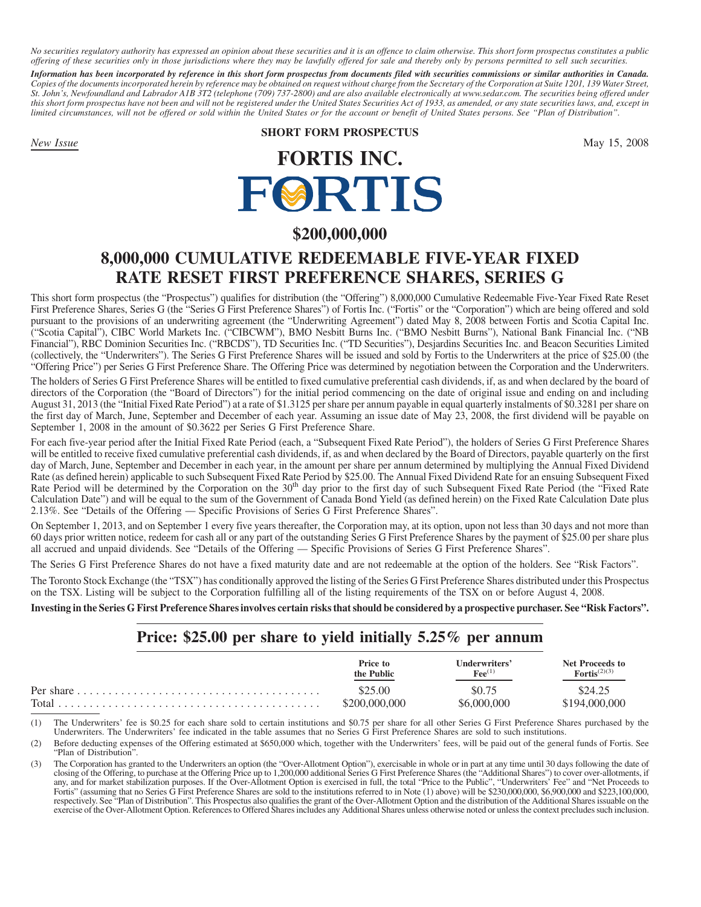*No securities regulatory authority has expressed an opinion about these securities and it is an offence to claim otherwise. This short form prospectus constitutes a public offering of these securities only in those jurisdictions where they may be lawfully offered for sale and thereby only by persons permitted to sell such securities.*

*Information has been incorporated by reference in this short form prospectus from documents filed with securities commissions or similar authorities in Canada. Copies of the documents incorporated herein by reference may be obtained on request without charge from the Secretary of the Corporation at Suite 1201, 139 Water Street, St. John's, Newfoundland and Labrador A1B 3T2 (telephone (709) 737-2800) and are also available electronically at www.sedar.com. The securities being offered under this short form prospectus have not been and will not be registered under the United States Securities Act of 1933, as amended, or any state securities laws, and, except in limited circumstances, will not be offered or sold within the United States or for the account or benefit of United States persons. See "Plan of Distribution".*

# **SHORT FORM PROSPECTUS**

*New Issue* May 15, 2008

# **FORTIS INC.** FØRTIS

# **\$200,000,000**

# **8,000,000 CUMULATIVE REDEEMABLE FIVE-YEAR FIXED RATE RESET FIRST PREFERENCE SHARES, SERIES G**

This short form prospectus (the "Prospectus") qualifies for distribution (the "Offering") 8,000,000 Cumulative Redeemable Five-Year Fixed Rate Reset First Preference Shares, Series G (the "Series G First Preference Shares") of Fortis Inc. ("Fortis" or the "Corporation") which are being offered and sold pursuant to the provisions of an underwriting agreement (the "Underwriting Agreement") dated May 8, 2008 between Fortis and Scotia Capital Inc. ("Scotia Capital"), CIBC World Markets Inc. ("CIBCWM"), BMO Nesbitt Burns Inc. ("BMO Nesbitt Burns"), National Bank Financial Inc. ("NB Financial"), RBC Dominion Securities Inc. ("RBCDS"), TD Securities Inc. ("TD Securities"), Desjardins Securities Inc. and Beacon Securities Limited (collectively, the "Underwriters"). The Series G First Preference Shares will be issued and sold by Fortis to the Underwriters at the price of \$25.00 (the "Offering Price") per Series G First Preference Share. The Offering Price was determined by negotiation between the Corporation and the Underwriters.

The holders of Series G First Preference Shares will be entitled to fixed cumulative preferential cash dividends, if, as and when declared by the board of directors of the Corporation (the "Board of Directors") for the initial period commencing on the date of original issue and ending on and including August 31, 2013 (the "Initial Fixed Rate Period") at a rate of \$1.3125 per share per annum payable in equal quarterly instalments of \$0.3281 per share on the first day of March, June, September and December of each year. Assuming an issue date of May 23, 2008, the first dividend will be payable on September 1, 2008 in the amount of \$0.3622 per Series G First Preference Share.

For each five-year period after the Initial Fixed Rate Period (each, a "Subsequent Fixed Rate Period"), the holders of Series G First Preference Shares will be entitled to receive fixed cumulative preferential cash dividends, if, as and when declared by the Board of Directors, payable quarterly on the first day of March, June, September and December in each year, in the amount per share per annum determined by multiplying the Annual Fixed Dividend Rate (as defined herein) applicable to such Subsequent Fixed Rate Period by \$25.00. The Annual Fixed Dividend Rate for an ensuing Subsequent Fixed Rate Period will be determined by the Corporation on the 30<sup>th</sup> day prior to the first day of such Subsequent Fixed Rate Period (the "Fixed Rate Calculation Date") and will be equal to the sum of the Government of Canada Bond Yield (as defined herein) on the Fixed Rate Calculation Date plus 2.13%. See "Details of the Offering — Specific Provisions of Series G First Preference Shares".

On September 1, 2013, and on September 1 every five years thereafter, the Corporation may, at its option, upon not less than 30 days and not more than 60 days prior written notice, redeem for cash all or any part of the outstanding Series G First Preference Shares by the payment of \$25.00 per share plus all accrued and unpaid dividends. See "Details of the Offering — Specific Provisions of Series G First Preference Shares".

The Series G First Preference Shares do not have a fixed maturity date and are not redeemable at the option of the holders. See "Risk Factors".

The Toronto Stock Exchange (the "TSX") has conditionally approved the listing of the Series G First Preference Shares distributed under this Prospectus on the TSX. Listing will be subject to the Corporation fulfilling all of the listing requirements of the TSX on or before August 4, 2008.

**Investing in the Series G First Preference Shares involves certain risks that should be considered by a prospective purchaser. See "Risk Factors".**

# **Price: \$25.00 per share to yield initially 5.25% per annum**

| Price to        | Underwriters'        | Net Proceeds to          |
|-----------------|----------------------|--------------------------|
| the Public      | $\mathbf{Fee}^{(1)}$ | $\text{Fortis}^{(2)(3)}$ |
| S25 00          | \$0.75               | \$24.25                  |
| $\$200,000,000$ | \$6,000,000          | \$194.000.000            |

(1) The Underwriters' fee is \$0.25 for each share sold to certain institutions and \$0.75 per share for all other Series G First Preference Shares purchased by the Underwriters. The Underwriters' fee indicated in the table assumes that no Series G First Preference Shares are sold to such institutions.

(2) Before deducting expenses of the Offering estimated at \$650,000 which, together with the Underwriters' fees, will be paid out of the general funds of Fortis. See "Plan of Distribution".

<sup>(3)</sup> The Corporation has granted to the Underwriters an option (the "Over-Allotment Option"), exercisable in whole or in part at any time until 30 days following the date of closing of the Offering, to purchase at the Offering Price up to 1,200,000 additional Series G First Preference Shares (the "Additional Shares") to cover over-allotments, if any, and for market stabilization purposes. If the Over-Allotment Option is exercised in full, the total "Price to the Public", "Underwriters' Fee" and "Net Proceeds to Fortis" (assuming that no Series G First Preference Shares are sold to the institutions referred to in Note (1) above) will be \$230,000,000, \$6,900,000 and \$223,100,000, respectively. See "Plan of Distribution". This Prospectus also qualifies the grant of the Over-Allotment Option and the distribution of the Additional Shares issuable on the exercise of the Over-Allotment Option. References to Offered Shares includes any Additional Shares unless otherwise noted or unless the context precludes such inclusion.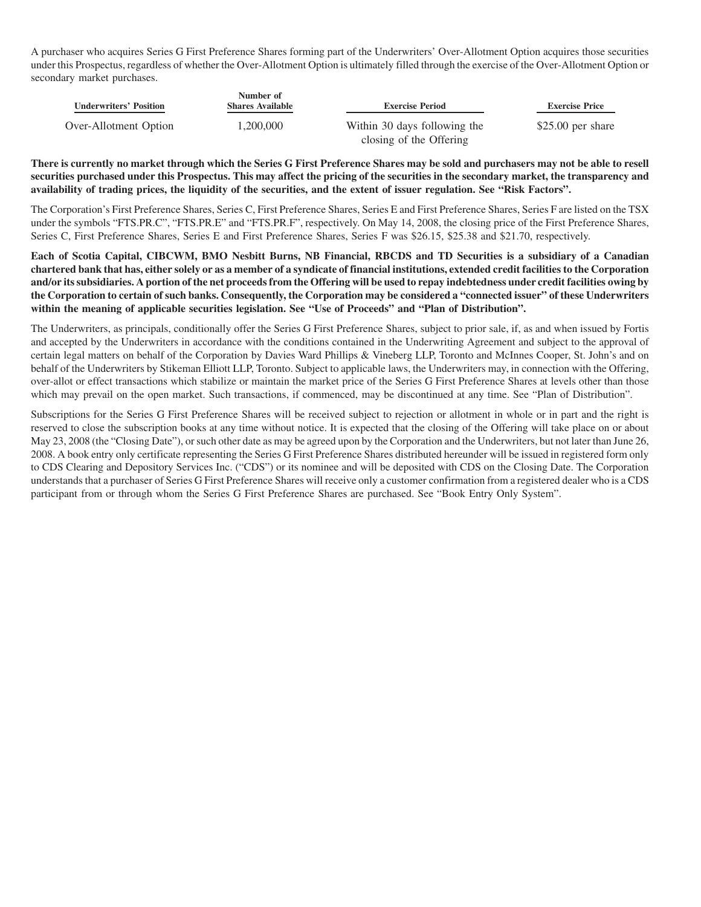A purchaser who acquires Series G First Preference Shares forming part of the Underwriters' Over-Allotment Option acquires those securities under this Prospectus, regardless of whether the Over-Allotment Option is ultimately filled through the exercise of the Over-Allotment Option or secondary market purchases.

| <b>Underwriters' Position</b> | Number of<br><b>Shares Available</b> | <b>Exercise Period</b>       | <b>Exercise Price</b> |
|-------------------------------|--------------------------------------|------------------------------|-----------------------|
| Over-Allotment Option         | 1.200.000                            | Within 30 days following the | $$25.00$ per share    |
|                               |                                      | closing of the Offering      |                       |

**There is currently no market through which the Series G First Preference Shares may be sold and purchasers may not be able to resell securities purchased under this Prospectus. This may affect the pricing of the securities in the secondary market, the transparency and availability of trading prices, the liquidity of the securities, and the extent of issuer regulation. See "Risk Factors".**

The Corporation's First Preference Shares, Series C, First Preference Shares, Series E and First Preference Shares, Series F are listed on the TSX under the symbols "FTS.PR.C", "FTS.PR.E" and "FTS.PR.F", respectively. On May 14, 2008, the closing price of the First Preference Shares, Series C, First Preference Shares, Series E and First Preference Shares, Series F was \$26.15, \$25.38 and \$21.70, respectively.

**Each of Scotia Capital, CIBCWM, BMO Nesbitt Burns, NB Financial, RBCDS and TD Securities is a subsidiary of a Canadian chartered bank that has, either solely or as a member of a syndicate of financial institutions, extended credit facilities to the Corporation and/or its subsidiaries. A portion of the net proceeds from the Offering will be used to repay indebtedness under credit facilities owing by the Corporation to certain of such banks. Consequently, the Corporation may be considered a "connected issuer" of these Underwriters within the meaning of applicable securities legislation. See "Use of Proceeds" and "Plan of Distribution".**

The Underwriters, as principals, conditionally offer the Series G First Preference Shares, subject to prior sale, if, as and when issued by Fortis and accepted by the Underwriters in accordance with the conditions contained in the Underwriting Agreement and subject to the approval of certain legal matters on behalf of the Corporation by Davies Ward Phillips & Vineberg LLP, Toronto and McInnes Cooper, St. John's and on behalf of the Underwriters by Stikeman Elliott LLP, Toronto. Subject to applicable laws, the Underwriters may, in connection with the Offering, over-allot or effect transactions which stabilize or maintain the market price of the Series G First Preference Shares at levels other than those which may prevail on the open market. Such transactions, if commenced, may be discontinued at any time. See "Plan of Distribution".

Subscriptions for the Series G First Preference Shares will be received subject to rejection or allotment in whole or in part and the right is reserved to close the subscription books at any time without notice. It is expected that the closing of the Offering will take place on or about May 23, 2008 (the "Closing Date"), or such other date as may be agreed upon by the Corporation and the Underwriters, but not later than June 26, 2008. A book entry only certificate representing the Series G First Preference Shares distributed hereunder will be issued in registered form only to CDS Clearing and Depository Services Inc. ("CDS") or its nominee and will be deposited with CDS on the Closing Date. The Corporation understands that a purchaser of Series G First Preference Shares will receive only a customer confirmation from a registered dealer who is a CDS participant from or through whom the Series G First Preference Shares are purchased. See "Book Entry Only System".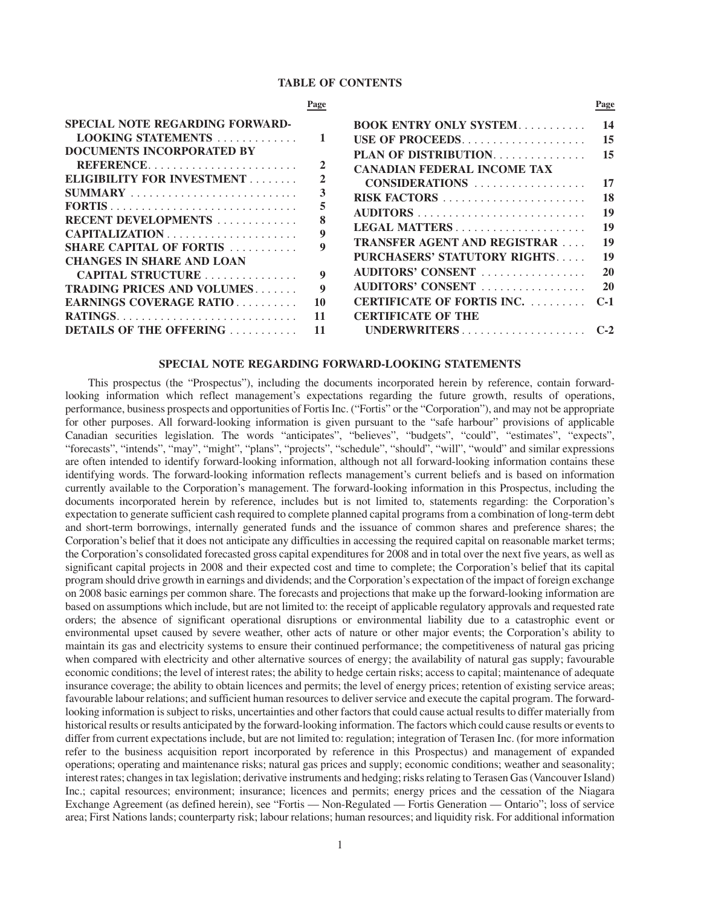# **TABLE OF CONTENTS**

|                                                                                                                                                                                           | Page               |                                                                                                                                                                                                  | Page                                   |
|-------------------------------------------------------------------------------------------------------------------------------------------------------------------------------------------|--------------------|--------------------------------------------------------------------------------------------------------------------------------------------------------------------------------------------------|----------------------------------------|
| SPECIAL NOTE REGARDING FORWARD-<br>LOOKING STATEMENTS<br><b>DOCUMENTS INCORPORATED BY</b><br>REFERENCE<br>ELIGIBILITY FOR INVESTMENT<br><b>RECENT DEVELOPMENTS</b>                        |                    | <b>BOOK ENTRY ONLY SYSTEM</b><br>USE OF PROCEEDS<br>PLAN OF DISTRIBUTION.<br><b>CANADIAN FEDERAL INCOME TAX</b><br>CONSIDERATIONS<br>LEGAL MATTERS                                               | 14<br>15<br>15<br>17<br>18<br>19<br>19 |
| <b>SHARE CAPITAL OF FORTIS</b><br><b>CHANGES IN SHARE AND LOAN</b><br>CAPITAL STRUCTURE<br><b>TRADING PRICES AND VOLUMES</b><br>EARNINGS COVERAGE RATIO<br><b>DETAILS OF THE OFFERING</b> | 9<br>9<br>10<br>11 | <b>TRANSFER AGENT AND REGISTRAR</b><br>PURCHASERS' STATUTORY RIGHTS<br>AUDITORS' CONSENT<br>AUDITORS' CONSENT<br><b>CERTIFICATE OF FORTIS INC. </b><br><b>CERTIFICATE OF THE</b><br>UNDERWRITERS | 19<br>19<br>20<br>20<br>$C-1$          |

## **SPECIAL NOTE REGARDING FORWARD-LOOKING STATEMENTS**

This prospectus (the "Prospectus"), including the documents incorporated herein by reference, contain forwardlooking information which reflect management's expectations regarding the future growth, results of operations, performance, business prospects and opportunities of Fortis Inc. ("Fortis" or the "Corporation"), and may not be appropriate for other purposes. All forward-looking information is given pursuant to the "safe harbour" provisions of applicable Canadian securities legislation. The words "anticipates", "believes", "budgets", "could", "estimates", "expects", "forecasts", "intends", "may", "might", "plans", "projects", "schedule", "should", "will", "would" and similar expressions are often intended to identify forward-looking information, although not all forward-looking information contains these identifying words. The forward-looking information reflects management's current beliefs and is based on information currently available to the Corporation's management. The forward-looking information in this Prospectus, including the documents incorporated herein by reference, includes but is not limited to, statements regarding: the Corporation's expectation to generate sufficient cash required to complete planned capital programs from a combination of long-term debt and short-term borrowings, internally generated funds and the issuance of common shares and preference shares; the Corporation's belief that it does not anticipate any difficulties in accessing the required capital on reasonable market terms; the Corporation's consolidated forecasted gross capital expenditures for 2008 and in total over the next five years, as well as significant capital projects in 2008 and their expected cost and time to complete; the Corporation's belief that its capital program should drive growth in earnings and dividends; and the Corporation's expectation of the impact of foreign exchange on 2008 basic earnings per common share. The forecasts and projections that make up the forward-looking information are based on assumptions which include, but are not limited to: the receipt of applicable regulatory approvals and requested rate orders; the absence of significant operational disruptions or environmental liability due to a catastrophic event or environmental upset caused by severe weather, other acts of nature or other major events; the Corporation's ability to maintain its gas and electricity systems to ensure their continued performance; the competitiveness of natural gas pricing when compared with electricity and other alternative sources of energy; the availability of natural gas supply; favourable economic conditions; the level of interest rates; the ability to hedge certain risks; access to capital; maintenance of adequate insurance coverage; the ability to obtain licences and permits; the level of energy prices; retention of existing service areas; favourable labour relations; and sufficient human resources to deliver service and execute the capital program. The forwardlooking information is subject to risks, uncertainties and other factors that could cause actual results to differ materially from historical results or results anticipated by the forward-looking information. The factors which could cause results or events to differ from current expectations include, but are not limited to: regulation; integration of Terasen Inc. (for more information refer to the business acquisition report incorporated by reference in this Prospectus) and management of expanded operations; operating and maintenance risks; natural gas prices and supply; economic conditions; weather and seasonality; interest rates; changes in tax legislation; derivative instruments and hedging; risks relating to Terasen Gas (Vancouver Island) Inc.; capital resources; environment; insurance; licences and permits; energy prices and the cessation of the Niagara Exchange Agreement (as defined herein), see "Fortis — Non-Regulated — Fortis Generation — Ontario"; loss of service area; First Nations lands; counterparty risk; labour relations; human resources; and liquidity risk. For additional information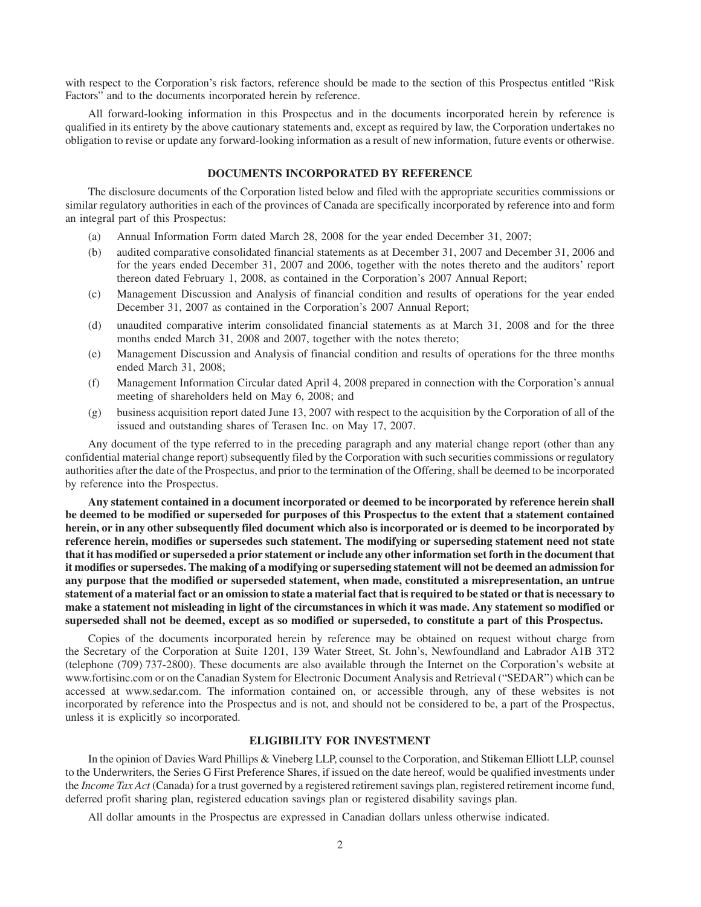with respect to the Corporation's risk factors, reference should be made to the section of this Prospectus entitled "Risk Factors" and to the documents incorporated herein by reference.

All forward-looking information in this Prospectus and in the documents incorporated herein by reference is qualified in its entirety by the above cautionary statements and, except as required by law, the Corporation undertakes no obligation to revise or update any forward-looking information as a result of new information, future events or otherwise.

# **DOCUMENTS INCORPORATED BY REFERENCE**

The disclosure documents of the Corporation listed below and filed with the appropriate securities commissions or similar regulatory authorities in each of the provinces of Canada are specifically incorporated by reference into and form an integral part of this Prospectus:

- (a) Annual Information Form dated March 28, 2008 for the year ended December 31, 2007;
- (b) audited comparative consolidated financial statements as at December 31, 2007 and December 31, 2006 and for the years ended December 31, 2007 and 2006, together with the notes thereto and the auditors' report thereon dated February 1, 2008, as contained in the Corporation's 2007 Annual Report;
- (c) Management Discussion and Analysis of financial condition and results of operations for the year ended December 31, 2007 as contained in the Corporation's 2007 Annual Report;
- (d) unaudited comparative interim consolidated financial statements as at March 31, 2008 and for the three months ended March 31, 2008 and 2007, together with the notes thereto;
- (e) Management Discussion and Analysis of financial condition and results of operations for the three months ended March 31, 2008;
- (f) Management Information Circular dated April 4, 2008 prepared in connection with the Corporation's annual meeting of shareholders held on May 6, 2008; and
- (g) business acquisition report dated June 13, 2007 with respect to the acquisition by the Corporation of all of the issued and outstanding shares of Terasen Inc. on May 17, 2007.

Any document of the type referred to in the preceding paragraph and any material change report (other than any confidential material change report) subsequently filed by the Corporation with such securities commissions or regulatory authorities after the date of the Prospectus, and prior to the termination of the Offering, shall be deemed to be incorporated by reference into the Prospectus.

**Any statement contained in a document incorporated or deemed to be incorporated by reference herein shall be deemed to be modified or superseded for purposes of this Prospectus to the extent that a statement contained herein, or in any other subsequently filed document which also is incorporated or is deemed to be incorporated by reference herein, modifies or supersedes such statement. The modifying or superseding statement need not state that it has modified or superseded a prior statement or include any other information set forth in the document that it modifies or supersedes. The making of a modifying or superseding statement will not be deemed an admission for any purpose that the modified or superseded statement, when made, constituted a misrepresentation, an untrue statement of a material fact or an omission to state a material fact that is required to be stated or that is necessary to make a statement not misleading in light of the circumstances in which it was made. Any statement so modified or superseded shall not be deemed, except as so modified or superseded, to constitute a part of this Prospectus.**

Copies of the documents incorporated herein by reference may be obtained on request without charge from the Secretary of the Corporation at Suite 1201, 139 Water Street, St. John's, Newfoundland and Labrador A1B 3T2 (telephone (709) 737-2800). These documents are also available through the Internet on the Corporation's website at www.fortisinc.com or on the Canadian System for Electronic Document Analysis and Retrieval ("SEDAR") which can be accessed at www.sedar.com. The information contained on, or accessible through, any of these websites is not incorporated by reference into the Prospectus and is not, and should not be considered to be, a part of the Prospectus, unless it is explicitly so incorporated.

## **ELIGIBILITY FOR INVESTMENT**

In the opinion of Davies Ward Phillips & Vineberg LLP, counsel to the Corporation, and Stikeman Elliott LLP, counsel to the Underwriters, the Series G First Preference Shares, if issued on the date hereof, would be qualified investments under the *Income Tax Act* (Canada) for a trust governed by a registered retirement savings plan, registered retirement income fund, deferred profit sharing plan, registered education savings plan or registered disability savings plan.

All dollar amounts in the Prospectus are expressed in Canadian dollars unless otherwise indicated.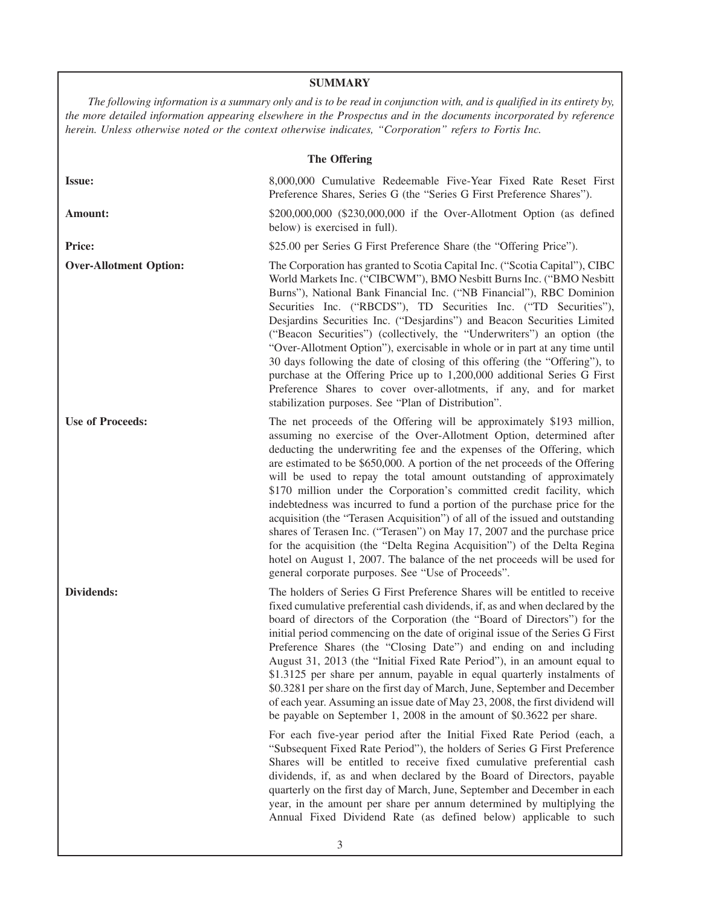# **SUMMARY**

*The following information is a summary only and is to be read in conjunction with, and is qualified in its entirety by, the more detailed information appearing elsewhere in the Prospectus and in the documents incorporated by reference herein. Unless otherwise noted or the context otherwise indicates, "Corporation" refers to Fortis Inc.*

| The Offering |  |
|--------------|--|
|              |  |
|              |  |

| <b>Issue:</b>                 | 8,000,000 Cumulative Redeemable Five-Year Fixed Rate Reset First<br>Preference Shares, Series G (the "Series G First Preference Shares").                                                                                                                                                                                                                                                                                                                                                                                                                                                                                                                                                                                                                                                                                                                                                                                                                                                                                                                                                                                                                                                                                                                                                                                         |
|-------------------------------|-----------------------------------------------------------------------------------------------------------------------------------------------------------------------------------------------------------------------------------------------------------------------------------------------------------------------------------------------------------------------------------------------------------------------------------------------------------------------------------------------------------------------------------------------------------------------------------------------------------------------------------------------------------------------------------------------------------------------------------------------------------------------------------------------------------------------------------------------------------------------------------------------------------------------------------------------------------------------------------------------------------------------------------------------------------------------------------------------------------------------------------------------------------------------------------------------------------------------------------------------------------------------------------------------------------------------------------|
| Amount:                       | \$200,000,000 (\$230,000,000 if the Over-Allotment Option (as defined<br>below) is exercised in full).                                                                                                                                                                                                                                                                                                                                                                                                                                                                                                                                                                                                                                                                                                                                                                                                                                                                                                                                                                                                                                                                                                                                                                                                                            |
| <b>Price:</b>                 | \$25.00 per Series G First Preference Share (the "Offering Price").                                                                                                                                                                                                                                                                                                                                                                                                                                                                                                                                                                                                                                                                                                                                                                                                                                                                                                                                                                                                                                                                                                                                                                                                                                                               |
| <b>Over-Allotment Option:</b> | The Corporation has granted to Scotia Capital Inc. ("Scotia Capital"), CIBC<br>World Markets Inc. ("CIBCWM"), BMO Nesbitt Burns Inc. ("BMO Nesbitt"<br>Burns"), National Bank Financial Inc. ("NB Financial"), RBC Dominion<br>Securities Inc. ("RBCDS"), TD Securities Inc. ("TD Securities"),<br>Desjardins Securities Inc. ("Desjardins") and Beacon Securities Limited<br>("Beacon Securities") (collectively, the "Underwriters") an option (the<br>"Over-Allotment Option"), exercisable in whole or in part at any time until<br>30 days following the date of closing of this offering (the "Offering"), to<br>purchase at the Offering Price up to 1,200,000 additional Series G First<br>Preference Shares to cover over-allotments, if any, and for market<br>stabilization purposes. See "Plan of Distribution".                                                                                                                                                                                                                                                                                                                                                                                                                                                                                                      |
| <b>Use of Proceeds:</b>       | The net proceeds of the Offering will be approximately \$193 million,<br>assuming no exercise of the Over-Allotment Option, determined after<br>deducting the underwriting fee and the expenses of the Offering, which<br>are estimated to be \$650,000. A portion of the net proceeds of the Offering<br>will be used to repay the total amount outstanding of approximately<br>\$170 million under the Corporation's committed credit facility, which<br>indebtedness was incurred to fund a portion of the purchase price for the<br>acquisition (the "Terasen Acquisition") of all of the issued and outstanding<br>shares of Terasen Inc. ("Terasen") on May 17, 2007 and the purchase price<br>for the acquisition (the "Delta Regina Acquisition") of the Delta Regina<br>hotel on August 1, 2007. The balance of the net proceeds will be used for<br>general corporate purposes. See "Use of Proceeds".                                                                                                                                                                                                                                                                                                                                                                                                                  |
| Dividends:                    | The holders of Series G First Preference Shares will be entitled to receive<br>fixed cumulative preferential cash dividends, if, as and when declared by the<br>board of directors of the Corporation (the "Board of Directors") for the<br>initial period commencing on the date of original issue of the Series G First<br>Preference Shares (the "Closing Date") and ending on and including<br>August 31, 2013 (the "Initial Fixed Rate Period"), in an amount equal to<br>\$1.3125 per share per annum, payable in equal quarterly instalments of<br>\$0.3281 per share on the first day of March, June, September and December<br>of each year. Assuming an issue date of May 23, 2008, the first dividend will<br>be payable on September 1, 2008 in the amount of \$0.3622 per share.<br>For each five-year period after the Initial Fixed Rate Period (each, a<br>"Subsequent Fixed Rate Period"), the holders of Series G First Preference<br>Shares will be entitled to receive fixed cumulative preferential cash<br>dividends, if, as and when declared by the Board of Directors, payable<br>quarterly on the first day of March, June, September and December in each<br>year, in the amount per share per annum determined by multiplying the<br>Annual Fixed Dividend Rate (as defined below) applicable to such |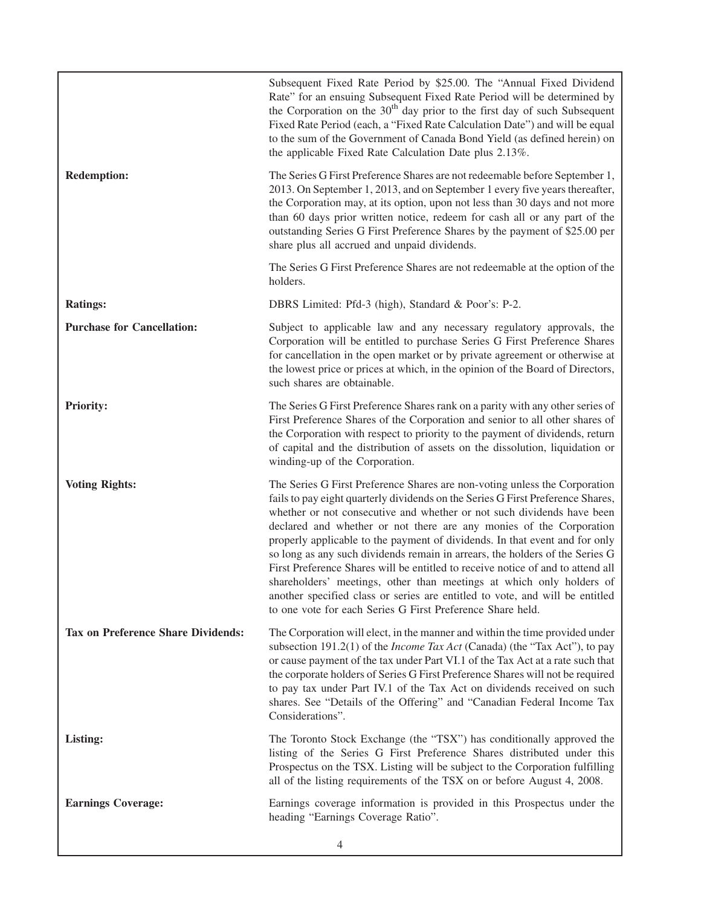|                                           | Subsequent Fixed Rate Period by \$25.00. The "Annual Fixed Dividend<br>Rate" for an ensuing Subsequent Fixed Rate Period will be determined by<br>the Corporation on the 30 <sup>th</sup> day prior to the first day of such Subsequent<br>Fixed Rate Period (each, a "Fixed Rate Calculation Date") and will be equal<br>to the sum of the Government of Canada Bond Yield (as defined herein) on<br>the applicable Fixed Rate Calculation Date plus 2.13%.                                                                                                                                                                                                                                                                                                                           |
|-------------------------------------------|----------------------------------------------------------------------------------------------------------------------------------------------------------------------------------------------------------------------------------------------------------------------------------------------------------------------------------------------------------------------------------------------------------------------------------------------------------------------------------------------------------------------------------------------------------------------------------------------------------------------------------------------------------------------------------------------------------------------------------------------------------------------------------------|
| <b>Redemption:</b>                        | The Series G First Preference Shares are not redeemable before September 1,<br>2013. On September 1, 2013, and on September 1 every five years thereafter,<br>the Corporation may, at its option, upon not less than 30 days and not more<br>than 60 days prior written notice, redeem for cash all or any part of the<br>outstanding Series G First Preference Shares by the payment of \$25.00 per<br>share plus all accrued and unpaid dividends.                                                                                                                                                                                                                                                                                                                                   |
|                                           | The Series G First Preference Shares are not redeemable at the option of the<br>holders.                                                                                                                                                                                                                                                                                                                                                                                                                                                                                                                                                                                                                                                                                               |
| <b>Ratings:</b>                           | DBRS Limited: Pfd-3 (high), Standard & Poor's: P-2.                                                                                                                                                                                                                                                                                                                                                                                                                                                                                                                                                                                                                                                                                                                                    |
| <b>Purchase for Cancellation:</b>         | Subject to applicable law and any necessary regulatory approvals, the<br>Corporation will be entitled to purchase Series G First Preference Shares<br>for cancellation in the open market or by private agreement or otherwise at<br>the lowest price or prices at which, in the opinion of the Board of Directors,<br>such shares are obtainable.                                                                                                                                                                                                                                                                                                                                                                                                                                     |
| <b>Priority:</b>                          | The Series G First Preference Shares rank on a parity with any other series of<br>First Preference Shares of the Corporation and senior to all other shares of<br>the Corporation with respect to priority to the payment of dividends, return<br>of capital and the distribution of assets on the dissolution, liquidation or<br>winding-up of the Corporation.                                                                                                                                                                                                                                                                                                                                                                                                                       |
| <b>Voting Rights:</b>                     | The Series G First Preference Shares are non-voting unless the Corporation<br>fails to pay eight quarterly dividends on the Series G First Preference Shares,<br>whether or not consecutive and whether or not such dividends have been<br>declared and whether or not there are any monies of the Corporation<br>properly applicable to the payment of dividends. In that event and for only<br>so long as any such dividends remain in arrears, the holders of the Series G<br>First Preference Shares will be entitled to receive notice of and to attend all<br>shareholders' meetings, other than meetings at which only holders of<br>another specified class or series are entitled to vote, and will be entitled<br>to one vote for each Series G First Preference Share held. |
| <b>Tax on Preference Share Dividends:</b> | The Corporation will elect, in the manner and within the time provided under<br>subsection 191.2(1) of the <i>Income Tax Act</i> (Canada) (the "Tax Act"), to pay<br>or cause payment of the tax under Part VI.1 of the Tax Act at a rate such that<br>the corporate holders of Series G First Preference Shares will not be required<br>to pay tax under Part IV.1 of the Tax Act on dividends received on such<br>shares. See "Details of the Offering" and "Canadian Federal Income Tax<br>Considerations".                                                                                                                                                                                                                                                                         |
| Listing:                                  | The Toronto Stock Exchange (the "TSX") has conditionally approved the<br>listing of the Series G First Preference Shares distributed under this<br>Prospectus on the TSX. Listing will be subject to the Corporation fulfilling<br>all of the listing requirements of the TSX on or before August 4, 2008.                                                                                                                                                                                                                                                                                                                                                                                                                                                                             |
| <b>Earnings Coverage:</b>                 | Earnings coverage information is provided in this Prospectus under the<br>heading "Earnings Coverage Ratio".                                                                                                                                                                                                                                                                                                                                                                                                                                                                                                                                                                                                                                                                           |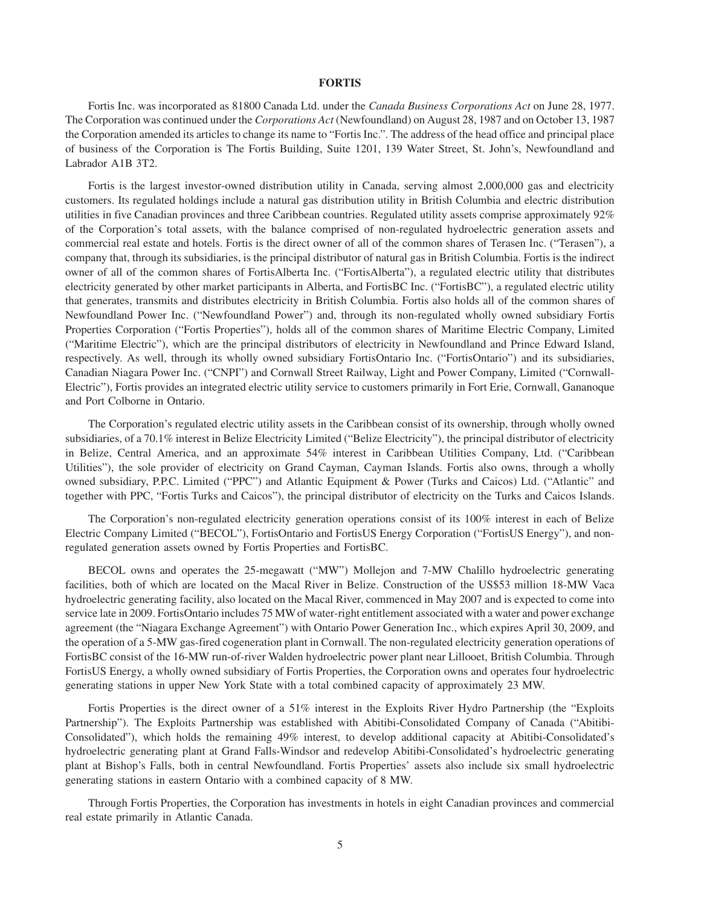# **FORTIS**

Fortis Inc. was incorporated as 81800 Canada Ltd. under the *Canada Business Corporations Act* on June 28, 1977. The Corporation was continued under the *Corporations Act* (Newfoundland) on August 28, 1987 and on October 13, 1987 the Corporation amended its articles to change its name to "Fortis Inc.". The address of the head office and principal place of business of the Corporation is The Fortis Building, Suite 1201, 139 Water Street, St. John's, Newfoundland and Labrador A1B 3T2.

Fortis is the largest investor-owned distribution utility in Canada, serving almost 2,000,000 gas and electricity customers. Its regulated holdings include a natural gas distribution utility in British Columbia and electric distribution utilities in five Canadian provinces and three Caribbean countries. Regulated utility assets comprise approximately 92% of the Corporation's total assets, with the balance comprised of non-regulated hydroelectric generation assets and commercial real estate and hotels. Fortis is the direct owner of all of the common shares of Terasen Inc. ("Terasen"), a company that, through its subsidiaries, is the principal distributor of natural gas in British Columbia. Fortis is the indirect owner of all of the common shares of FortisAlberta Inc. ("FortisAlberta"), a regulated electric utility that distributes electricity generated by other market participants in Alberta, and FortisBC Inc. ("FortisBC"), a regulated electric utility that generates, transmits and distributes electricity in British Columbia. Fortis also holds all of the common shares of Newfoundland Power Inc. ("Newfoundland Power") and, through its non-regulated wholly owned subsidiary Fortis Properties Corporation ("Fortis Properties"), holds all of the common shares of Maritime Electric Company, Limited ("Maritime Electric"), which are the principal distributors of electricity in Newfoundland and Prince Edward Island, respectively. As well, through its wholly owned subsidiary FortisOntario Inc. ("FortisOntario") and its subsidiaries, Canadian Niagara Power Inc. ("CNPI") and Cornwall Street Railway, Light and Power Company, Limited ("Cornwall-Electric"), Fortis provides an integrated electric utility service to customers primarily in Fort Erie, Cornwall, Gananoque and Port Colborne in Ontario.

The Corporation's regulated electric utility assets in the Caribbean consist of its ownership, through wholly owned subsidiaries, of a 70.1% interest in Belize Electricity Limited ("Belize Electricity"), the principal distributor of electricity in Belize, Central America, and an approximate 54% interest in Caribbean Utilities Company, Ltd. ("Caribbean Utilities"), the sole provider of electricity on Grand Cayman, Cayman Islands. Fortis also owns, through a wholly owned subsidiary, P.P.C. Limited ("PPC") and Atlantic Equipment & Power (Turks and Caicos) Ltd. ("Atlantic" and together with PPC, "Fortis Turks and Caicos"), the principal distributor of electricity on the Turks and Caicos Islands.

The Corporation's non-regulated electricity generation operations consist of its 100% interest in each of Belize Electric Company Limited ("BECOL"), FortisOntario and FortisUS Energy Corporation ("FortisUS Energy"), and nonregulated generation assets owned by Fortis Properties and FortisBC.

BECOL owns and operates the 25-megawatt ("MW") Mollejon and 7-MW Chalillo hydroelectric generating facilities, both of which are located on the Macal River in Belize. Construction of the US\$53 million 18-MW Vaca hydroelectric generating facility, also located on the Macal River, commenced in May 2007 and is expected to come into service late in 2009. FortisOntario includes 75 MWof water-right entitlement associated with a water and power exchange agreement (the "Niagara Exchange Agreement") with Ontario Power Generation Inc., which expires April 30, 2009, and the operation of a 5-MW gas-fired cogeneration plant in Cornwall. The non-regulated electricity generation operations of FortisBC consist of the 16-MW run-of-river Walden hydroelectric power plant near Lillooet, British Columbia. Through FortisUS Energy, a wholly owned subsidiary of Fortis Properties, the Corporation owns and operates four hydroelectric generating stations in upper New York State with a total combined capacity of approximately 23 MW.

Fortis Properties is the direct owner of a 51% interest in the Exploits River Hydro Partnership (the "Exploits Partnership"). The Exploits Partnership was established with Abitibi-Consolidated Company of Canada ("Abitibi-Consolidated"), which holds the remaining 49% interest, to develop additional capacity at Abitibi-Consolidated's hydroelectric generating plant at Grand Falls-Windsor and redevelop Abitibi-Consolidated's hydroelectric generating plant at Bishop's Falls, both in central Newfoundland. Fortis Properties' assets also include six small hydroelectric generating stations in eastern Ontario with a combined capacity of 8 MW.

Through Fortis Properties, the Corporation has investments in hotels in eight Canadian provinces and commercial real estate primarily in Atlantic Canada.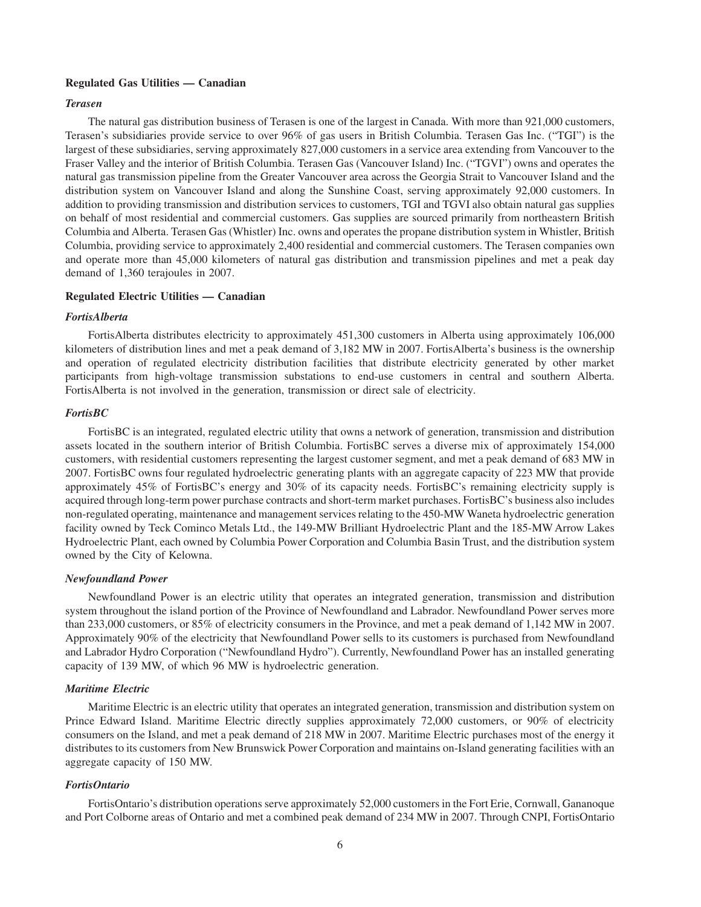#### **Regulated Gas Utilities — Canadian**

#### *Terasen*

The natural gas distribution business of Terasen is one of the largest in Canada. With more than 921,000 customers, Terasen's subsidiaries provide service to over 96% of gas users in British Columbia. Terasen Gas Inc. ("TGI") is the largest of these subsidiaries, serving approximately 827,000 customers in a service area extending from Vancouver to the Fraser Valley and the interior of British Columbia. Terasen Gas (Vancouver Island) Inc. ("TGVI") owns and operates the natural gas transmission pipeline from the Greater Vancouver area across the Georgia Strait to Vancouver Island and the distribution system on Vancouver Island and along the Sunshine Coast, serving approximately 92,000 customers. In addition to providing transmission and distribution services to customers, TGI and TGVI also obtain natural gas supplies on behalf of most residential and commercial customers. Gas supplies are sourced primarily from northeastern British Columbia and Alberta. Terasen Gas (Whistler) Inc. owns and operates the propane distribution system in Whistler, British Columbia, providing service to approximately 2,400 residential and commercial customers. The Terasen companies own and operate more than 45,000 kilometers of natural gas distribution and transmission pipelines and met a peak day demand of 1,360 terajoules in 2007.

#### **Regulated Electric Utilities — Canadian**

#### *FortisAlberta*

FortisAlberta distributes electricity to approximately 451,300 customers in Alberta using approximately 106,000 kilometers of distribution lines and met a peak demand of 3,182 MW in 2007. FortisAlberta's business is the ownership and operation of regulated electricity distribution facilities that distribute electricity generated by other market participants from high-voltage transmission substations to end-use customers in central and southern Alberta. FortisAlberta is not involved in the generation, transmission or direct sale of electricity.

#### *FortisBC*

FortisBC is an integrated, regulated electric utility that owns a network of generation, transmission and distribution assets located in the southern interior of British Columbia. FortisBC serves a diverse mix of approximately 154,000 customers, with residential customers representing the largest customer segment, and met a peak demand of 683 MW in 2007. FortisBC owns four regulated hydroelectric generating plants with an aggregate capacity of 223 MW that provide approximately 45% of FortisBC's energy and 30% of its capacity needs. FortisBC's remaining electricity supply is acquired through long-term power purchase contracts and short-term market purchases. FortisBC's business also includes non-regulated operating, maintenance and management services relating to the 450-MW Waneta hydroelectric generation facility owned by Teck Cominco Metals Ltd., the 149-MW Brilliant Hydroelectric Plant and the 185-MW Arrow Lakes Hydroelectric Plant, each owned by Columbia Power Corporation and Columbia Basin Trust, and the distribution system owned by the City of Kelowna.

# *Newfoundland Power*

Newfoundland Power is an electric utility that operates an integrated generation, transmission and distribution system throughout the island portion of the Province of Newfoundland and Labrador. Newfoundland Power serves more than 233,000 customers, or 85% of electricity consumers in the Province, and met a peak demand of 1,142 MW in 2007. Approximately 90% of the electricity that Newfoundland Power sells to its customers is purchased from Newfoundland and Labrador Hydro Corporation ("Newfoundland Hydro"). Currently, Newfoundland Power has an installed generating capacity of 139 MW, of which 96 MW is hydroelectric generation.

#### *Maritime Electric*

Maritime Electric is an electric utility that operates an integrated generation, transmission and distribution system on Prince Edward Island. Maritime Electric directly supplies approximately 72,000 customers, or 90% of electricity consumers on the Island, and met a peak demand of 218 MW in 2007. Maritime Electric purchases most of the energy it distributes to its customers from New Brunswick Power Corporation and maintains on-Island generating facilities with an aggregate capacity of 150 MW.

#### *FortisOntario*

FortisOntario's distribution operations serve approximately 52,000 customers in the Fort Erie, Cornwall, Gananoque and Port Colborne areas of Ontario and met a combined peak demand of 234 MW in 2007. Through CNPI, FortisOntario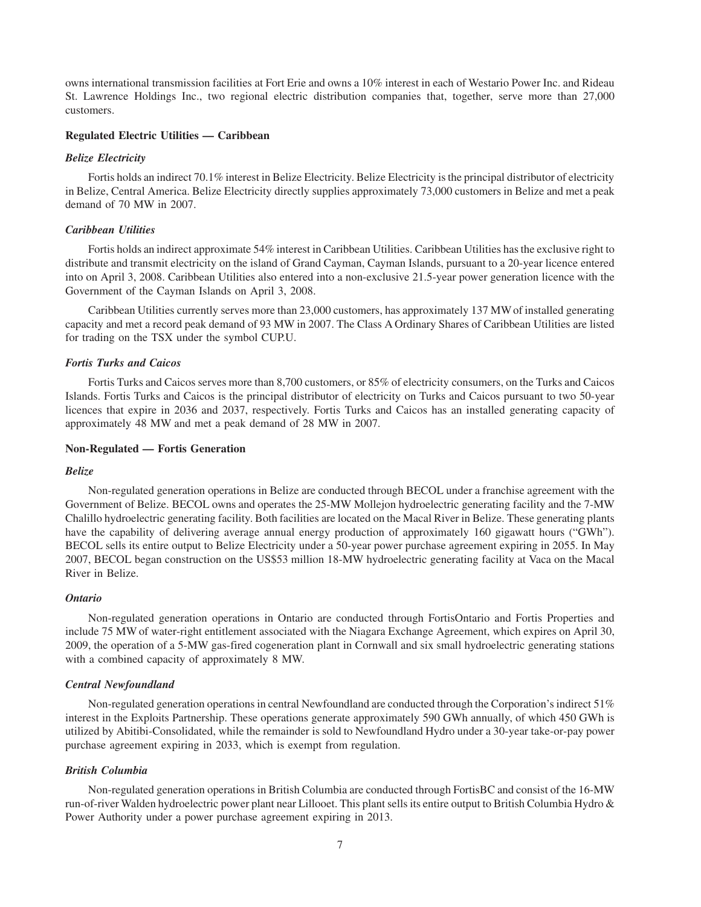owns international transmission facilities at Fort Erie and owns a 10% interest in each of Westario Power Inc. and Rideau St. Lawrence Holdings Inc., two regional electric distribution companies that, together, serve more than 27,000 customers.

#### **Regulated Electric Utilities — Caribbean**

#### *Belize Electricity*

Fortis holds an indirect 70.1% interest in Belize Electricity. Belize Electricity is the principal distributor of electricity in Belize, Central America. Belize Electricity directly supplies approximately 73,000 customers in Belize and met a peak demand of 70 MW in 2007.

#### *Caribbean Utilities*

Fortis holds an indirect approximate 54% interest in Caribbean Utilities. Caribbean Utilities has the exclusive right to distribute and transmit electricity on the island of Grand Cayman, Cayman Islands, pursuant to a 20-year licence entered into on April 3, 2008. Caribbean Utilities also entered into a non-exclusive 21.5-year power generation licence with the Government of the Cayman Islands on April 3, 2008.

Caribbean Utilities currently serves more than 23,000 customers, has approximately 137 MW of installed generating capacity and met a record peak demand of 93 MW in 2007. The Class A Ordinary Shares of Caribbean Utilities are listed for trading on the TSX under the symbol CUP.U.

#### *Fortis Turks and Caicos*

Fortis Turks and Caicos serves more than 8,700 customers, or 85% of electricity consumers, on the Turks and Caicos Islands. Fortis Turks and Caicos is the principal distributor of electricity on Turks and Caicos pursuant to two 50-year licences that expire in 2036 and 2037, respectively. Fortis Turks and Caicos has an installed generating capacity of approximately 48 MW and met a peak demand of 28 MW in 2007.

#### **Non-Regulated — Fortis Generation**

#### *Belize*

Non-regulated generation operations in Belize are conducted through BECOL under a franchise agreement with the Government of Belize. BECOL owns and operates the 25-MW Mollejon hydroelectric generating facility and the 7-MW Chalillo hydroelectric generating facility. Both facilities are located on the Macal River in Belize. These generating plants have the capability of delivering average annual energy production of approximately 160 gigawatt hours ("GWh"). BECOL sells its entire output to Belize Electricity under a 50-year power purchase agreement expiring in 2055. In May 2007, BECOL began construction on the US\$53 million 18-MW hydroelectric generating facility at Vaca on the Macal River in Belize.

#### *Ontario*

Non-regulated generation operations in Ontario are conducted through FortisOntario and Fortis Properties and include 75 MW of water-right entitlement associated with the Niagara Exchange Agreement, which expires on April 30, 2009, the operation of a 5-MW gas-fired cogeneration plant in Cornwall and six small hydroelectric generating stations with a combined capacity of approximately 8 MW.

#### *Central Newfoundland*

Non-regulated generation operations in central Newfoundland are conducted through the Corporation's indirect 51% interest in the Exploits Partnership. These operations generate approximately 590 GWh annually, of which 450 GWh is utilized by Abitibi-Consolidated, while the remainder is sold to Newfoundland Hydro under a 30-year take-or-pay power purchase agreement expiring in 2033, which is exempt from regulation.

#### *British Columbia*

Non-regulated generation operations in British Columbia are conducted through FortisBC and consist of the 16-MW run-of-river Walden hydroelectric power plant near Lillooet. This plant sells its entire output to British Columbia Hydro & Power Authority under a power purchase agreement expiring in 2013.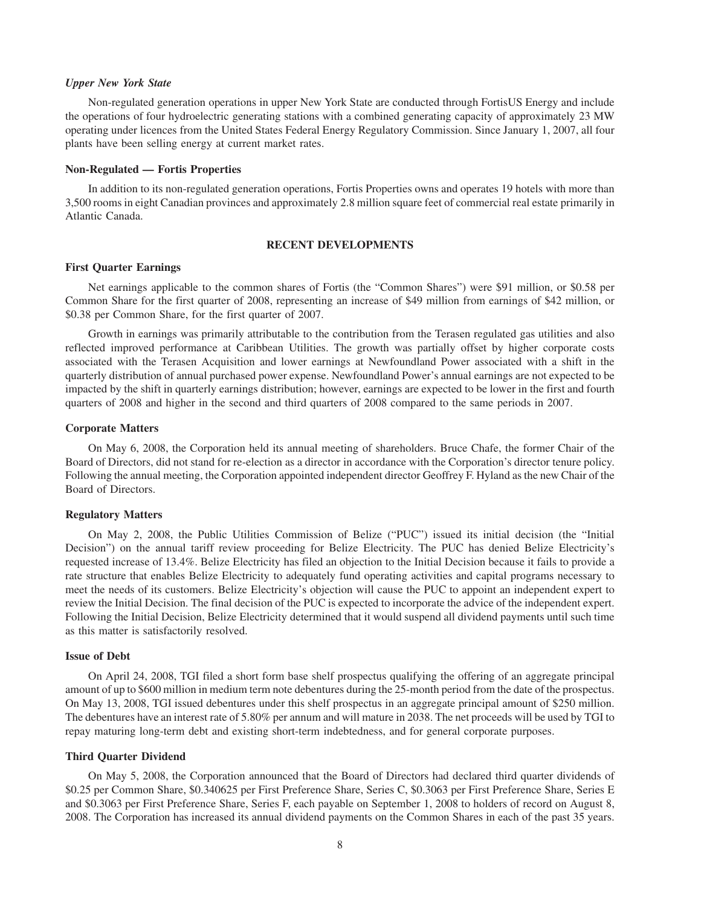#### *Upper New York State*

Non-regulated generation operations in upper New York State are conducted through FortisUS Energy and include the operations of four hydroelectric generating stations with a combined generating capacity of approximately 23 MW operating under licences from the United States Federal Energy Regulatory Commission. Since January 1, 2007, all four plants have been selling energy at current market rates.

#### **Non-Regulated — Fortis Properties**

In addition to its non-regulated generation operations, Fortis Properties owns and operates 19 hotels with more than 3,500 rooms in eight Canadian provinces and approximately 2.8 million square feet of commercial real estate primarily in Atlantic Canada.

# **RECENT DEVELOPMENTS**

#### **First Quarter Earnings**

Net earnings applicable to the common shares of Fortis (the "Common Shares") were \$91 million, or \$0.58 per Common Share for the first quarter of 2008, representing an increase of \$49 million from earnings of \$42 million, or \$0.38 per Common Share, for the first quarter of 2007.

Growth in earnings was primarily attributable to the contribution from the Terasen regulated gas utilities and also reflected improved performance at Caribbean Utilities. The growth was partially offset by higher corporate costs associated with the Terasen Acquisition and lower earnings at Newfoundland Power associated with a shift in the quarterly distribution of annual purchased power expense. Newfoundland Power's annual earnings are not expected to be impacted by the shift in quarterly earnings distribution; however, earnings are expected to be lower in the first and fourth quarters of 2008 and higher in the second and third quarters of 2008 compared to the same periods in 2007.

#### **Corporate Matters**

On May 6, 2008, the Corporation held its annual meeting of shareholders. Bruce Chafe, the former Chair of the Board of Directors, did not stand for re-election as a director in accordance with the Corporation's director tenure policy. Following the annual meeting, the Corporation appointed independent director Geoffrey F. Hyland as the new Chair of the Board of Directors.

#### **Regulatory Matters**

On May 2, 2008, the Public Utilities Commission of Belize ("PUC") issued its initial decision (the "Initial Decision") on the annual tariff review proceeding for Belize Electricity. The PUC has denied Belize Electricity's requested increase of 13.4%. Belize Electricity has filed an objection to the Initial Decision because it fails to provide a rate structure that enables Belize Electricity to adequately fund operating activities and capital programs necessary to meet the needs of its customers. Belize Electricity's objection will cause the PUC to appoint an independent expert to review the Initial Decision. The final decision of the PUC is expected to incorporate the advice of the independent expert. Following the Initial Decision, Belize Electricity determined that it would suspend all dividend payments until such time as this matter is satisfactorily resolved.

#### **Issue of Debt**

On April 24, 2008, TGI filed a short form base shelf prospectus qualifying the offering of an aggregate principal amount of up to \$600 million in medium term note debentures during the 25-month period from the date of the prospectus. On May 13, 2008, TGI issued debentures under this shelf prospectus in an aggregate principal amount of \$250 million. The debentures have an interest rate of 5.80% per annum and will mature in 2038. The net proceeds will be used by TGI to repay maturing long-term debt and existing short-term indebtedness, and for general corporate purposes.

# **Third Quarter Dividend**

On May 5, 2008, the Corporation announced that the Board of Directors had declared third quarter dividends of \$0.25 per Common Share, \$0.340625 per First Preference Share, Series C, \$0.3063 per First Preference Share, Series E and \$0.3063 per First Preference Share, Series F, each payable on September 1, 2008 to holders of record on August 8, 2008. The Corporation has increased its annual dividend payments on the Common Shares in each of the past 35 years.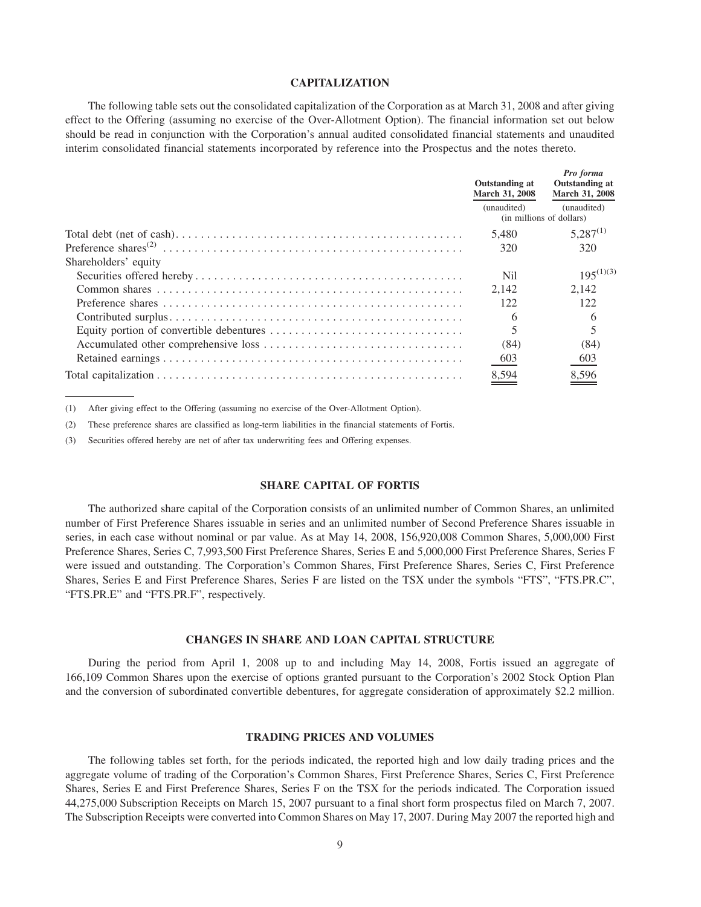# **CAPITALIZATION**

The following table sets out the consolidated capitalization of the Corporation as at March 31, 2008 and after giving effect to the Offering (assuming no exercise of the Over-Allotment Option). The financial information set out below should be read in conjunction with the Corporation's annual audited consolidated financial statements and unaudited interim consolidated financial statements incorporated by reference into the Prospectus and the notes thereto.

|                      | Outstanding at<br>March 31, 2008 | Pro forma<br><b>Outstanding at</b><br>March 31, 2008 |  |
|----------------------|----------------------------------|------------------------------------------------------|--|
|                      | (unaudited)                      | (unaudited)<br>(in millions of dollars)              |  |
|                      | 5.480                            | $5,287^{(1)}$                                        |  |
|                      | 320                              | 320                                                  |  |
| Shareholders' equity |                                  |                                                      |  |
|                      | Nil                              | $195^{(1)(3)}$                                       |  |
|                      | 2.142                            | 2.142                                                |  |
|                      | 122                              | 122                                                  |  |
|                      | 6                                |                                                      |  |
|                      |                                  |                                                      |  |
|                      | (84)                             | (84)                                                 |  |
|                      | 603                              | 603                                                  |  |
|                      | 8,594                            | 8,596                                                |  |

(1) After giving effect to the Offering (assuming no exercise of the Over-Allotment Option).

(2) These preference shares are classified as long-term liabilities in the financial statements of Fortis.

(3) Securities offered hereby are net of after tax underwriting fees and Offering expenses.

# **SHARE CAPITAL OF FORTIS**

The authorized share capital of the Corporation consists of an unlimited number of Common Shares, an unlimited number of First Preference Shares issuable in series and an unlimited number of Second Preference Shares issuable in series, in each case without nominal or par value. As at May 14, 2008, 156,920,008 Common Shares, 5,000,000 First Preference Shares, Series C, 7,993,500 First Preference Shares, Series E and 5,000,000 First Preference Shares, Series F were issued and outstanding. The Corporation's Common Shares, First Preference Shares, Series C, First Preference Shares, Series E and First Preference Shares, Series F are listed on the TSX under the symbols "FTS", "FTS.PR.C", "FTS.PR.E" and "FTS.PR.F", respectively.

#### **CHANGES IN SHARE AND LOAN CAPITAL STRUCTURE**

During the period from April 1, 2008 up to and including May 14, 2008, Fortis issued an aggregate of 166,109 Common Shares upon the exercise of options granted pursuant to the Corporation's 2002 Stock Option Plan and the conversion of subordinated convertible debentures, for aggregate consideration of approximately \$2.2 million.

#### **TRADING PRICES AND VOLUMES**

The following tables set forth, for the periods indicated, the reported high and low daily trading prices and the aggregate volume of trading of the Corporation's Common Shares, First Preference Shares, Series C, First Preference Shares, Series E and First Preference Shares, Series F on the TSX for the periods indicated. The Corporation issued 44,275,000 Subscription Receipts on March 15, 2007 pursuant to a final short form prospectus filed on March 7, 2007. The Subscription Receipts were converted into Common Shares on May 17, 2007. During May 2007 the reported high and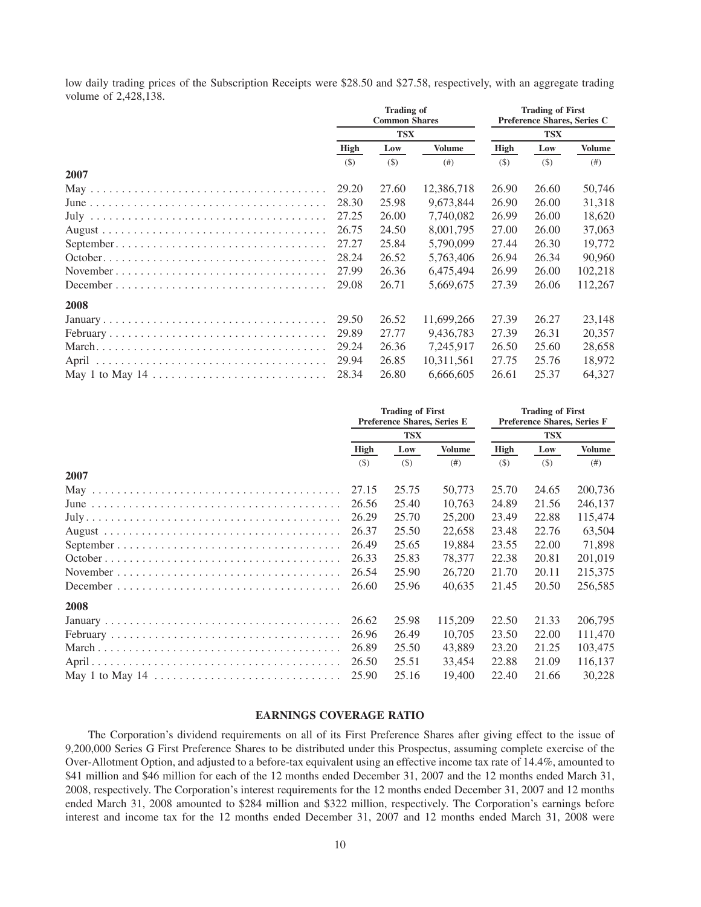low daily trading prices of the Subscription Receipts were \$28.50 and \$27.58, respectively, with an aggregate trading volume of 2,428,138.

|      | Trading of<br><b>Common Shares</b><br><b>TSX</b> |       |               | <b>Trading of First</b><br>Preference Shares, Series C<br><b>TSX</b> |        |               |
|------|--------------------------------------------------|-------|---------------|----------------------------------------------------------------------|--------|---------------|
|      |                                                  |       |               |                                                                      |        |               |
|      | High                                             | Low   | <b>Volume</b> | High                                                                 | Low    | <b>Volume</b> |
|      | (5)                                              | (S)   | (# )          | (S)                                                                  | $($ \$ | (# )          |
| 2007 |                                                  |       |               |                                                                      |        |               |
|      | 29.20                                            | 27.60 | 12,386,718    | 26.90                                                                | 26.60  | 50,746        |
|      | 28.30                                            | 25.98 | 9,673,844     | 26.90                                                                | 26.00  | 31,318        |
|      | 27.25                                            | 26.00 | 7,740,082     | 26.99                                                                | 26.00  | 18,620        |
|      | 26.75                                            | 24.50 | 8,001,795     | 27.00                                                                | 26.00  | 37,063        |
|      | 27.27                                            | 25.84 | 5,790,099     | 27.44                                                                | 26.30  | 19.772        |
|      | 28.24                                            | 26.52 | 5,763,406     | 26.94                                                                | 26.34  | 90,960        |
|      | 27.99                                            | 26.36 | 6,475,494     | 26.99                                                                | 26.00  | 102,218       |
|      | 29.08                                            | 26.71 | 5,669,675     | 27.39                                                                | 26.06  | 112,267       |
| 2008 |                                                  |       |               |                                                                      |        |               |
|      | 29.50                                            | 26.52 | 11,699,266    | 27.39                                                                | 26.27  | 23,148        |
|      | 29.89                                            | 27.77 | 9,436,783     | 27.39                                                                | 26.31  | 20,357        |
|      | 29.24                                            | 26.36 | 7,245,917     | 26.50                                                                | 25.60  | 28,658        |
|      | 29.94                                            | 26.85 | 10,311,561    | 27.75                                                                | 25.76  | 18,972        |
|      | 28.34                                            | 26.80 | 6,666,605     | 26.61                                                                | 25.37  | 64,327        |

|                                                                               | <b>Trading of First</b><br><b>Preference Shares, Series E</b><br><b>TSX</b> |       |               | <b>Trading of First</b><br><b>Preference Shares, Series F</b><br><b>TSX</b> |       |               |
|-------------------------------------------------------------------------------|-----------------------------------------------------------------------------|-------|---------------|-----------------------------------------------------------------------------|-------|---------------|
|                                                                               |                                                                             |       |               |                                                                             |       |               |
|                                                                               | High                                                                        | Low   | <b>Volume</b> | High                                                                        | Low   | <b>Volume</b> |
|                                                                               | (S)                                                                         | (5)   | (# )          | (S)                                                                         | (S)   | (# )          |
| 2007                                                                          |                                                                             |       |               |                                                                             |       |               |
|                                                                               | 27.15                                                                       | 25.75 | 50,773        | 25.70                                                                       | 24.65 | 200,736       |
|                                                                               | 26.56                                                                       | 25.40 | 10.763        | 24.89                                                                       | 21.56 | 246,137       |
|                                                                               | 26.29                                                                       | 25.70 | 25,200        | 23.49                                                                       | 22.88 | 115,474       |
|                                                                               | 26.37                                                                       | 25.50 | 22,658        | 23.48                                                                       | 22.76 | 63.504        |
|                                                                               | 26.49                                                                       | 25.65 | 19,884        | 23.55                                                                       | 22.00 | 71,898        |
|                                                                               | 26.33                                                                       | 25.83 | 78,377        | 22.38                                                                       | 20.81 | 201,019       |
|                                                                               | 26.54                                                                       | 25.90 | 26,720        | 21.70                                                                       | 20.11 | 215,375       |
|                                                                               | 26.60                                                                       | 25.96 | 40,635        | 21.45                                                                       | 20.50 | 256,585       |
| 2008                                                                          |                                                                             |       |               |                                                                             |       |               |
|                                                                               | 26.62                                                                       | 25.98 | 115,209       | 22.50                                                                       | 21.33 | 206,795       |
|                                                                               | 26.96                                                                       | 26.49 | 10.705        | 23.50                                                                       | 22.00 | 111,470       |
|                                                                               | 26.89                                                                       | 25.50 | 43,889        | 23.20                                                                       | 21.25 | 103,475       |
|                                                                               | 26.50                                                                       | 25.51 | 33,454        | 22.88                                                                       | 21.09 | 116,137       |
| May 1 to May 14 $\dots \dots \dots \dots \dots \dots \dots \dots \dots \dots$ | 25.90                                                                       | 25.16 | 19,400        | 22.40                                                                       | 21.66 | 30,228        |

# **EARNINGS COVERAGE RATIO**

The Corporation's dividend requirements on all of its First Preference Shares after giving effect to the issue of 9,200,000 Series G First Preference Shares to be distributed under this Prospectus, assuming complete exercise of the Over-Allotment Option, and adjusted to a before-tax equivalent using an effective income tax rate of 14.4%, amounted to \$41 million and \$46 million for each of the 12 months ended December 31, 2007 and the 12 months ended March 31, 2008, respectively. The Corporation's interest requirements for the 12 months ended December 31, 2007 and 12 months ended March 31, 2008 amounted to \$284 million and \$322 million, respectively. The Corporation's earnings before interest and income tax for the 12 months ended December 31, 2007 and 12 months ended March 31, 2008 were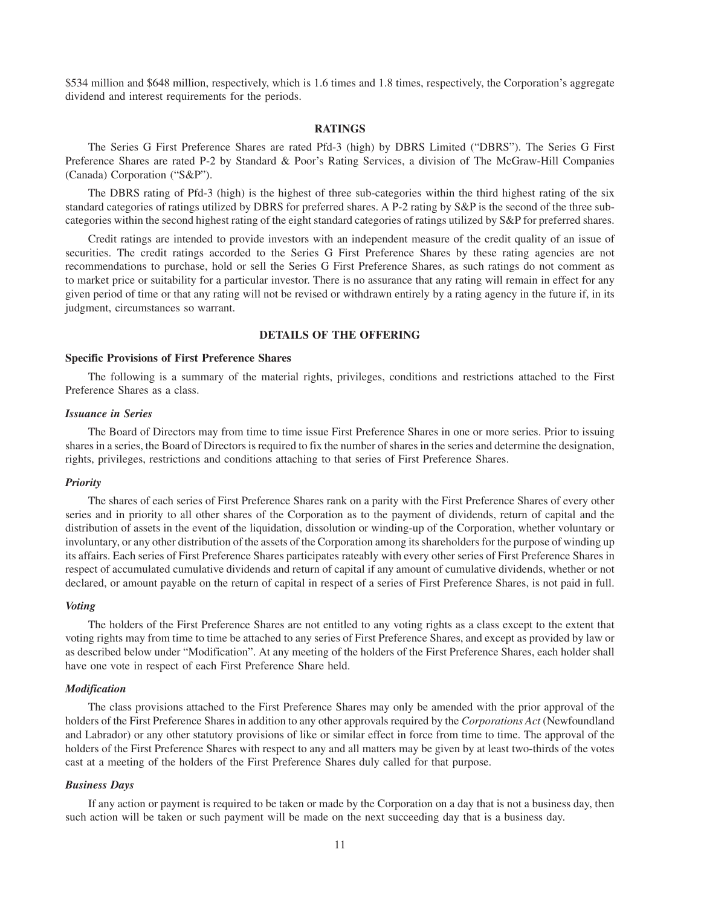\$534 million and \$648 million, respectively, which is 1.6 times and 1.8 times, respectively, the Corporation's aggregate dividend and interest requirements for the periods.

# **RATINGS**

The Series G First Preference Shares are rated Pfd-3 (high) by DBRS Limited ("DBRS"). The Series G First Preference Shares are rated P-2 by Standard & Poor's Rating Services, a division of The McGraw-Hill Companies (Canada) Corporation ("S&P").

The DBRS rating of Pfd-3 (high) is the highest of three sub-categories within the third highest rating of the six standard categories of ratings utilized by DBRS for preferred shares. A P-2 rating by S&P is the second of the three subcategories within the second highest rating of the eight standard categories of ratings utilized by S&P for preferred shares.

Credit ratings are intended to provide investors with an independent measure of the credit quality of an issue of securities. The credit ratings accorded to the Series G First Preference Shares by these rating agencies are not recommendations to purchase, hold or sell the Series G First Preference Shares, as such ratings do not comment as to market price or suitability for a particular investor. There is no assurance that any rating will remain in effect for any given period of time or that any rating will not be revised or withdrawn entirely by a rating agency in the future if, in its judgment, circumstances so warrant.

#### **DETAILS OF THE OFFERING**

#### **Specific Provisions of First Preference Shares**

The following is a summary of the material rights, privileges, conditions and restrictions attached to the First Preference Shares as a class.

#### *Issuance in Series*

The Board of Directors may from time to time issue First Preference Shares in one or more series. Prior to issuing shares in a series, the Board of Directors is required to fix the number of shares in the series and determine the designation, rights, privileges, restrictions and conditions attaching to that series of First Preference Shares.

#### *Priority*

The shares of each series of First Preference Shares rank on a parity with the First Preference Shares of every other series and in priority to all other shares of the Corporation as to the payment of dividends, return of capital and the distribution of assets in the event of the liquidation, dissolution or winding-up of the Corporation, whether voluntary or involuntary, or any other distribution of the assets of the Corporation among its shareholders for the purpose of winding up its affairs. Each series of First Preference Shares participates rateably with every other series of First Preference Shares in respect of accumulated cumulative dividends and return of capital if any amount of cumulative dividends, whether or not declared, or amount payable on the return of capital in respect of a series of First Preference Shares, is not paid in full.

### *Voting*

The holders of the First Preference Shares are not entitled to any voting rights as a class except to the extent that voting rights may from time to time be attached to any series of First Preference Shares, and except as provided by law or as described below under "Modification". At any meeting of the holders of the First Preference Shares, each holder shall have one vote in respect of each First Preference Share held.

#### *Modification*

The class provisions attached to the First Preference Shares may only be amended with the prior approval of the holders of the First Preference Shares in addition to any other approvals required by the *Corporations Act* (Newfoundland and Labrador) or any other statutory provisions of like or similar effect in force from time to time. The approval of the holders of the First Preference Shares with respect to any and all matters may be given by at least two-thirds of the votes cast at a meeting of the holders of the First Preference Shares duly called for that purpose.

#### *Business Days*

If any action or payment is required to be taken or made by the Corporation on a day that is not a business day, then such action will be taken or such payment will be made on the next succeeding day that is a business day.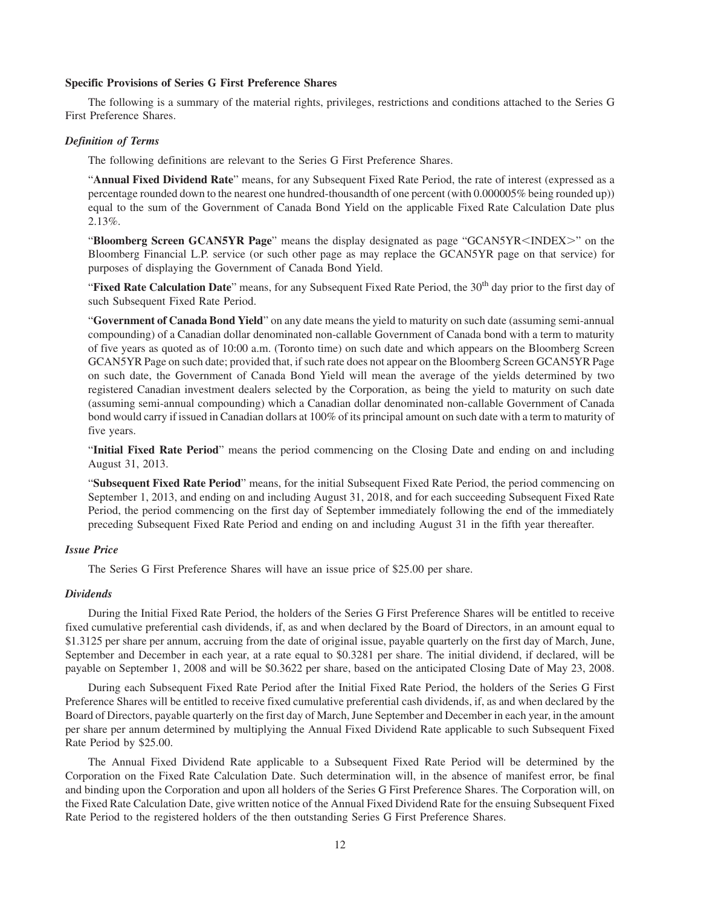# **Specific Provisions of Series G First Preference Shares**

The following is a summary of the material rights, privileges, restrictions and conditions attached to the Series G First Preference Shares.

#### *Definition of Terms*

The following definitions are relevant to the Series G First Preference Shares.

"**Annual Fixed Dividend Rate**" means, for any Subsequent Fixed Rate Period, the rate of interest (expressed as a percentage rounded down to the nearest one hundred-thousandth of one percent (with 0.000005% being rounded up)) equal to the sum of the Government of Canada Bond Yield on the applicable Fixed Rate Calculation Date plus 2.13%.

"Bloomberg Screen GCAN5YR Page" means the display designated as page "GCAN5YR<INDEX>" on the Bloomberg Financial L.P. service (or such other page as may replace the GCAN5YR page on that service) for purposes of displaying the Government of Canada Bond Yield.

"Fixed Rate Calculation Date" means, for any Subsequent Fixed Rate Period, the 30<sup>th</sup> day prior to the first day of such Subsequent Fixed Rate Period.

"**Government of Canada Bond Yield**" on any date means the yield to maturity on such date (assuming semi-annual compounding) of a Canadian dollar denominated non-callable Government of Canada bond with a term to maturity of five years as quoted as of 10:00 a.m. (Toronto time) on such date and which appears on the Bloomberg Screen GCAN5YR Page on such date; provided that, if such rate does not appear on the Bloomberg Screen GCAN5YR Page on such date, the Government of Canada Bond Yield will mean the average of the yields determined by two registered Canadian investment dealers selected by the Corporation, as being the yield to maturity on such date (assuming semi-annual compounding) which a Canadian dollar denominated non-callable Government of Canada bond would carry if issued in Canadian dollars at 100% of its principal amount on such date with a term to maturity of five years.

"**Initial Fixed Rate Period**" means the period commencing on the Closing Date and ending on and including August 31, 2013.

"**Subsequent Fixed Rate Period**" means, for the initial Subsequent Fixed Rate Period, the period commencing on September 1, 2013, and ending on and including August 31, 2018, and for each succeeding Subsequent Fixed Rate Period, the period commencing on the first day of September immediately following the end of the immediately preceding Subsequent Fixed Rate Period and ending on and including August 31 in the fifth year thereafter.

### *Issue Price*

The Series G First Preference Shares will have an issue price of \$25.00 per share.

#### *Dividends*

During the Initial Fixed Rate Period, the holders of the Series G First Preference Shares will be entitled to receive fixed cumulative preferential cash dividends, if, as and when declared by the Board of Directors, in an amount equal to \$1.3125 per share per annum, accruing from the date of original issue, payable quarterly on the first day of March, June, September and December in each year, at a rate equal to \$0.3281 per share. The initial dividend, if declared, will be payable on September 1, 2008 and will be \$0.3622 per share, based on the anticipated Closing Date of May 23, 2008.

During each Subsequent Fixed Rate Period after the Initial Fixed Rate Period, the holders of the Series G First Preference Shares will be entitled to receive fixed cumulative preferential cash dividends, if, as and when declared by the Board of Directors, payable quarterly on the first day of March, June September and December in each year, in the amount per share per annum determined by multiplying the Annual Fixed Dividend Rate applicable to such Subsequent Fixed Rate Period by \$25.00.

The Annual Fixed Dividend Rate applicable to a Subsequent Fixed Rate Period will be determined by the Corporation on the Fixed Rate Calculation Date. Such determination will, in the absence of manifest error, be final and binding upon the Corporation and upon all holders of the Series G First Preference Shares. The Corporation will, on the Fixed Rate Calculation Date, give written notice of the Annual Fixed Dividend Rate for the ensuing Subsequent Fixed Rate Period to the registered holders of the then outstanding Series G First Preference Shares.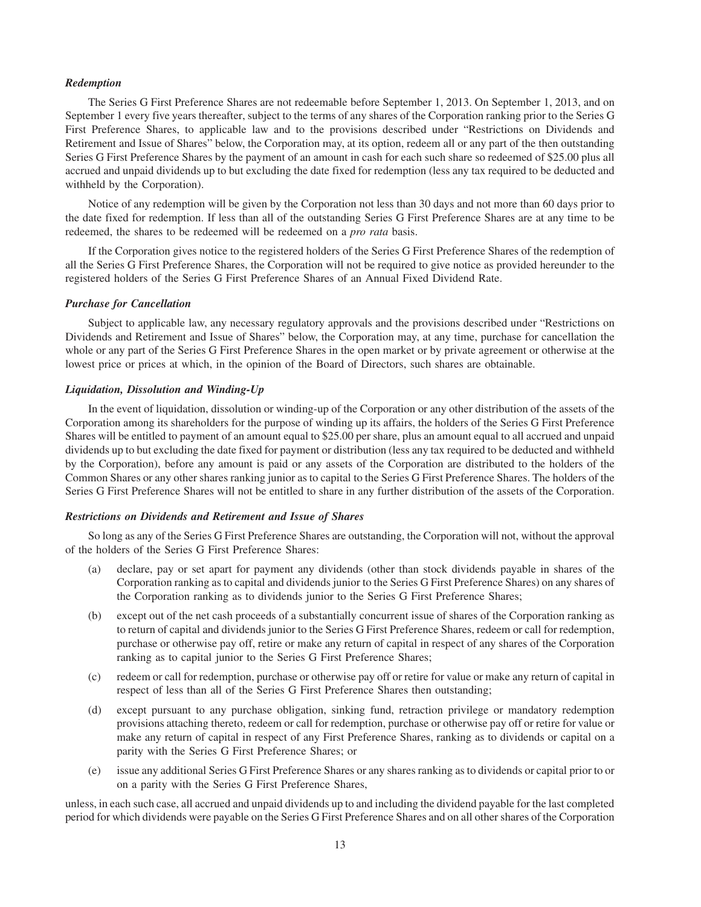#### *Redemption*

The Series G First Preference Shares are not redeemable before September 1, 2013. On September 1, 2013, and on September 1 every five years thereafter, subject to the terms of any shares of the Corporation ranking prior to the Series G First Preference Shares, to applicable law and to the provisions described under "Restrictions on Dividends and Retirement and Issue of Shares" below, the Corporation may, at its option, redeem all or any part of the then outstanding Series G First Preference Shares by the payment of an amount in cash for each such share so redeemed of \$25.00 plus all accrued and unpaid dividends up to but excluding the date fixed for redemption (less any tax required to be deducted and withheld by the Corporation).

Notice of any redemption will be given by the Corporation not less than 30 days and not more than 60 days prior to the date fixed for redemption. If less than all of the outstanding Series G First Preference Shares are at any time to be redeemed, the shares to be redeemed will be redeemed on a *pro rata* basis.

If the Corporation gives notice to the registered holders of the Series G First Preference Shares of the redemption of all the Series G First Preference Shares, the Corporation will not be required to give notice as provided hereunder to the registered holders of the Series G First Preference Shares of an Annual Fixed Dividend Rate.

#### *Purchase for Cancellation*

Subject to applicable law, any necessary regulatory approvals and the provisions described under "Restrictions on Dividends and Retirement and Issue of Shares" below, the Corporation may, at any time, purchase for cancellation the whole or any part of the Series G First Preference Shares in the open market or by private agreement or otherwise at the lowest price or prices at which, in the opinion of the Board of Directors, such shares are obtainable.

#### *Liquidation, Dissolution and Winding-Up*

In the event of liquidation, dissolution or winding-up of the Corporation or any other distribution of the assets of the Corporation among its shareholders for the purpose of winding up its affairs, the holders of the Series G First Preference Shares will be entitled to payment of an amount equal to \$25.00 per share, plus an amount equal to all accrued and unpaid dividends up to but excluding the date fixed for payment or distribution (less any tax required to be deducted and withheld by the Corporation), before any amount is paid or any assets of the Corporation are distributed to the holders of the Common Shares or any other shares ranking junior as to capital to the Series G First Preference Shares. The holders of the Series G First Preference Shares will not be entitled to share in any further distribution of the assets of the Corporation.

# *Restrictions on Dividends and Retirement and Issue of Shares*

So long as any of the Series G First Preference Shares are outstanding, the Corporation will not, without the approval of the holders of the Series G First Preference Shares:

- (a) declare, pay or set apart for payment any dividends (other than stock dividends payable in shares of the Corporation ranking as to capital and dividends junior to the Series G First Preference Shares) on any shares of the Corporation ranking as to dividends junior to the Series G First Preference Shares;
- (b) except out of the net cash proceeds of a substantially concurrent issue of shares of the Corporation ranking as to return of capital and dividends junior to the Series G First Preference Shares, redeem or call for redemption, purchase or otherwise pay off, retire or make any return of capital in respect of any shares of the Corporation ranking as to capital junior to the Series G First Preference Shares;
- (c) redeem or call for redemption, purchase or otherwise pay off or retire for value or make any return of capital in respect of less than all of the Series G First Preference Shares then outstanding;
- (d) except pursuant to any purchase obligation, sinking fund, retraction privilege or mandatory redemption provisions attaching thereto, redeem or call for redemption, purchase or otherwise pay off or retire for value or make any return of capital in respect of any First Preference Shares, ranking as to dividends or capital on a parity with the Series G First Preference Shares; or
- (e) issue any additional Series G First Preference Shares or any shares ranking as to dividends or capital prior to or on a parity with the Series G First Preference Shares,

unless, in each such case, all accrued and unpaid dividends up to and including the dividend payable for the last completed period for which dividends were payable on the Series G First Preference Shares and on all other shares of the Corporation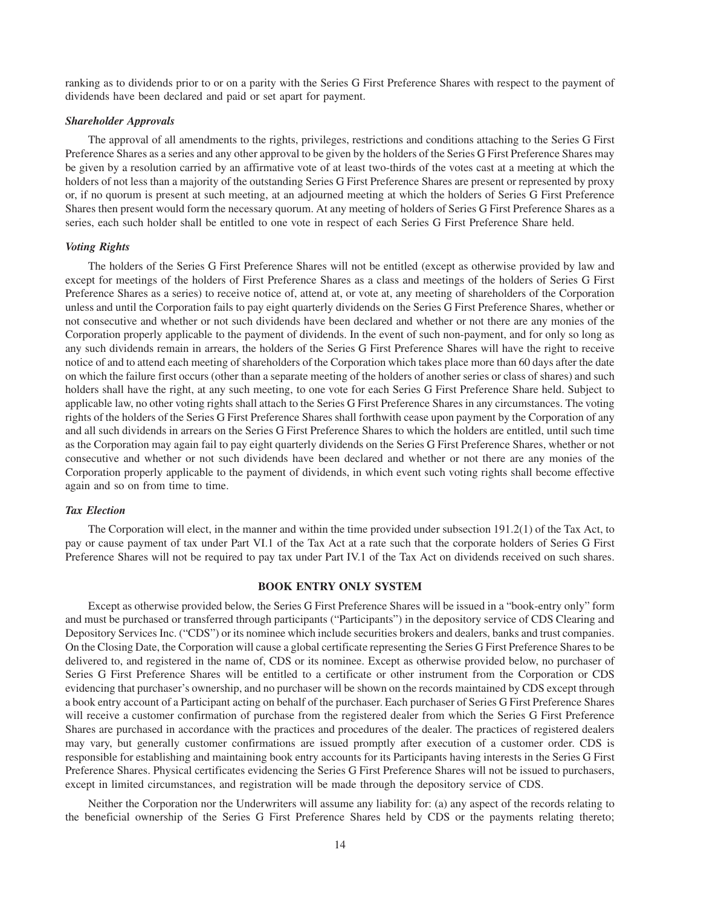ranking as to dividends prior to or on a parity with the Series G First Preference Shares with respect to the payment of dividends have been declared and paid or set apart for payment.

#### *Shareholder Approvals*

The approval of all amendments to the rights, privileges, restrictions and conditions attaching to the Series G First Preference Shares as a series and any other approval to be given by the holders of the Series G First Preference Shares may be given by a resolution carried by an affirmative vote of at least two-thirds of the votes cast at a meeting at which the holders of not less than a majority of the outstanding Series G First Preference Shares are present or represented by proxy or, if no quorum is present at such meeting, at an adjourned meeting at which the holders of Series G First Preference Shares then present would form the necessary quorum. At any meeting of holders of Series G First Preference Shares as a series, each such holder shall be entitled to one vote in respect of each Series G First Preference Share held.

## *Voting Rights*

The holders of the Series G First Preference Shares will not be entitled (except as otherwise provided by law and except for meetings of the holders of First Preference Shares as a class and meetings of the holders of Series G First Preference Shares as a series) to receive notice of, attend at, or vote at, any meeting of shareholders of the Corporation unless and until the Corporation fails to pay eight quarterly dividends on the Series G First Preference Shares, whether or not consecutive and whether or not such dividends have been declared and whether or not there are any monies of the Corporation properly applicable to the payment of dividends. In the event of such non-payment, and for only so long as any such dividends remain in arrears, the holders of the Series G First Preference Shares will have the right to receive notice of and to attend each meeting of shareholders of the Corporation which takes place more than 60 days after the date on which the failure first occurs (other than a separate meeting of the holders of another series or class of shares) and such holders shall have the right, at any such meeting, to one vote for each Series G First Preference Share held. Subject to applicable law, no other voting rights shall attach to the Series G First Preference Shares in any circumstances. The voting rights of the holders of the Series G First Preference Shares shall forthwith cease upon payment by the Corporation of any and all such dividends in arrears on the Series G First Preference Shares to which the holders are entitled, until such time as the Corporation may again fail to pay eight quarterly dividends on the Series G First Preference Shares, whether or not consecutive and whether or not such dividends have been declared and whether or not there are any monies of the Corporation properly applicable to the payment of dividends, in which event such voting rights shall become effective again and so on from time to time.

## *Tax Election*

The Corporation will elect, in the manner and within the time provided under subsection 191.2(1) of the Tax Act, to pay or cause payment of tax under Part VI.1 of the Tax Act at a rate such that the corporate holders of Series G First Preference Shares will not be required to pay tax under Part IV.1 of the Tax Act on dividends received on such shares.

#### **BOOK ENTRY ONLY SYSTEM**

Except as otherwise provided below, the Series G First Preference Shares will be issued in a "book-entry only" form and must be purchased or transferred through participants ("Participants") in the depository service of CDS Clearing and Depository Services Inc. ("CDS") or its nominee which include securities brokers and dealers, banks and trust companies. On the Closing Date, the Corporation will cause a global certificate representing the Series G First Preference Shares to be delivered to, and registered in the name of, CDS or its nominee. Except as otherwise provided below, no purchaser of Series G First Preference Shares will be entitled to a certificate or other instrument from the Corporation or CDS evidencing that purchaser's ownership, and no purchaser will be shown on the records maintained by CDS except through a book entry account of a Participant acting on behalf of the purchaser. Each purchaser of Series G First Preference Shares will receive a customer confirmation of purchase from the registered dealer from which the Series G First Preference Shares are purchased in accordance with the practices and procedures of the dealer. The practices of registered dealers may vary, but generally customer confirmations are issued promptly after execution of a customer order. CDS is responsible for establishing and maintaining book entry accounts for its Participants having interests in the Series G First Preference Shares. Physical certificates evidencing the Series G First Preference Shares will not be issued to purchasers, except in limited circumstances, and registration will be made through the depository service of CDS.

Neither the Corporation nor the Underwriters will assume any liability for: (a) any aspect of the records relating to the beneficial ownership of the Series G First Preference Shares held by CDS or the payments relating thereto;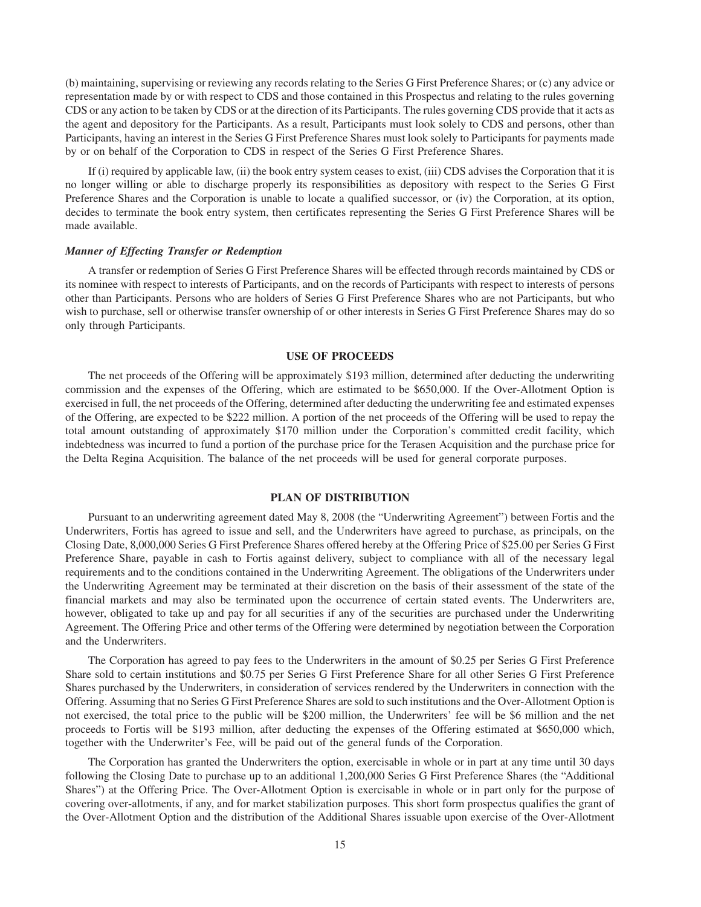(b) maintaining, supervising or reviewing any records relating to the Series G First Preference Shares; or (c) any advice or representation made by or with respect to CDS and those contained in this Prospectus and relating to the rules governing CDS or any action to be taken by CDS or at the direction of its Participants. The rules governing CDS provide that it acts as the agent and depository for the Participants. As a result, Participants must look solely to CDS and persons, other than Participants, having an interest in the Series G First Preference Shares must look solely to Participants for payments made by or on behalf of the Corporation to CDS in respect of the Series G First Preference Shares.

If (i) required by applicable law, (ii) the book entry system ceases to exist, (iii) CDS advises the Corporation that it is no longer willing or able to discharge properly its responsibilities as depository with respect to the Series G First Preference Shares and the Corporation is unable to locate a qualified successor, or (iv) the Corporation, at its option, decides to terminate the book entry system, then certificates representing the Series G First Preference Shares will be made available.

# *Manner of Effecting Transfer or Redemption*

A transfer or redemption of Series G First Preference Shares will be effected through records maintained by CDS or its nominee with respect to interests of Participants, and on the records of Participants with respect to interests of persons other than Participants. Persons who are holders of Series G First Preference Shares who are not Participants, but who wish to purchase, sell or otherwise transfer ownership of or other interests in Series G First Preference Shares may do so only through Participants.

#### **USE OF PROCEEDS**

The net proceeds of the Offering will be approximately \$193 million, determined after deducting the underwriting commission and the expenses of the Offering, which are estimated to be \$650,000. If the Over-Allotment Option is exercised in full, the net proceeds of the Offering, determined after deducting the underwriting fee and estimated expenses of the Offering, are expected to be \$222 million. A portion of the net proceeds of the Offering will be used to repay the total amount outstanding of approximately \$170 million under the Corporation's committed credit facility, which indebtedness was incurred to fund a portion of the purchase price for the Terasen Acquisition and the purchase price for the Delta Regina Acquisition. The balance of the net proceeds will be used for general corporate purposes.

# **PLAN OF DISTRIBUTION**

Pursuant to an underwriting agreement dated May 8, 2008 (the "Underwriting Agreement") between Fortis and the Underwriters, Fortis has agreed to issue and sell, and the Underwriters have agreed to purchase, as principals, on the Closing Date, 8,000,000 Series G First Preference Shares offered hereby at the Offering Price of \$25.00 per Series G First Preference Share, payable in cash to Fortis against delivery, subject to compliance with all of the necessary legal requirements and to the conditions contained in the Underwriting Agreement. The obligations of the Underwriters under the Underwriting Agreement may be terminated at their discretion on the basis of their assessment of the state of the financial markets and may also be terminated upon the occurrence of certain stated events. The Underwriters are, however, obligated to take up and pay for all securities if any of the securities are purchased under the Underwriting Agreement. The Offering Price and other terms of the Offering were determined by negotiation between the Corporation and the Underwriters.

The Corporation has agreed to pay fees to the Underwriters in the amount of \$0.25 per Series G First Preference Share sold to certain institutions and \$0.75 per Series G First Preference Share for all other Series G First Preference Shares purchased by the Underwriters, in consideration of services rendered by the Underwriters in connection with the Offering. Assuming that no Series G First Preference Shares are sold to such institutions and the Over-Allotment Option is not exercised, the total price to the public will be \$200 million, the Underwriters' fee will be \$6 million and the net proceeds to Fortis will be \$193 million, after deducting the expenses of the Offering estimated at \$650,000 which, together with the Underwriter's Fee, will be paid out of the general funds of the Corporation.

The Corporation has granted the Underwriters the option, exercisable in whole or in part at any time until 30 days following the Closing Date to purchase up to an additional 1,200,000 Series G First Preference Shares (the "Additional Shares") at the Offering Price. The Over-Allotment Option is exercisable in whole or in part only for the purpose of covering over-allotments, if any, and for market stabilization purposes. This short form prospectus qualifies the grant of the Over-Allotment Option and the distribution of the Additional Shares issuable upon exercise of the Over-Allotment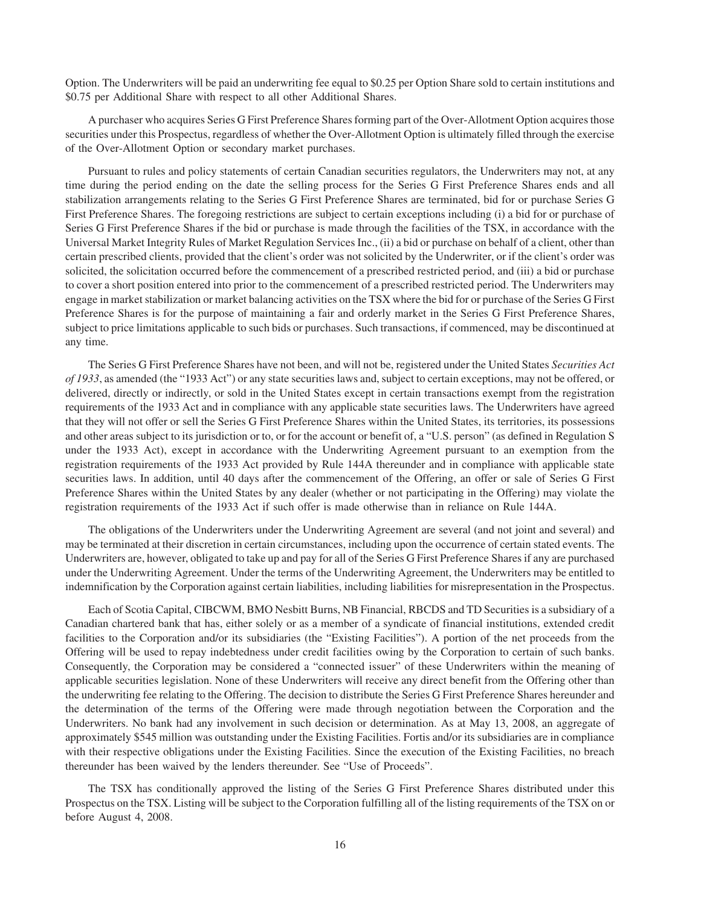Option. The Underwriters will be paid an underwriting fee equal to \$0.25 per Option Share sold to certain institutions and \$0.75 per Additional Share with respect to all other Additional Shares.

A purchaser who acquires Series G First Preference Shares forming part of the Over-Allotment Option acquires those securities under this Prospectus, regardless of whether the Over-Allotment Option is ultimately filled through the exercise of the Over-Allotment Option or secondary market purchases.

Pursuant to rules and policy statements of certain Canadian securities regulators, the Underwriters may not, at any time during the period ending on the date the selling process for the Series G First Preference Shares ends and all stabilization arrangements relating to the Series G First Preference Shares are terminated, bid for or purchase Series G First Preference Shares. The foregoing restrictions are subject to certain exceptions including (i) a bid for or purchase of Series G First Preference Shares if the bid or purchase is made through the facilities of the TSX, in accordance with the Universal Market Integrity Rules of Market Regulation Services Inc., (ii) a bid or purchase on behalf of a client, other than certain prescribed clients, provided that the client's order was not solicited by the Underwriter, or if the client's order was solicited, the solicitation occurred before the commencement of a prescribed restricted period, and (iii) a bid or purchase to cover a short position entered into prior to the commencement of a prescribed restricted period. The Underwriters may engage in market stabilization or market balancing activities on the TSX where the bid for or purchase of the Series G First Preference Shares is for the purpose of maintaining a fair and orderly market in the Series G First Preference Shares, subject to price limitations applicable to such bids or purchases. Such transactions, if commenced, may be discontinued at any time.

The Series G First Preference Shares have not been, and will not be, registered under the United States *Securities Act of 1933*, as amended (the "1933 Act") or any state securities laws and, subject to certain exceptions, may not be offered, or delivered, directly or indirectly, or sold in the United States except in certain transactions exempt from the registration requirements of the 1933 Act and in compliance with any applicable state securities laws. The Underwriters have agreed that they will not offer or sell the Series G First Preference Shares within the United States, its territories, its possessions and other areas subject to its jurisdiction or to, or for the account or benefit of, a "U.S. person" (as defined in Regulation S under the 1933 Act), except in accordance with the Underwriting Agreement pursuant to an exemption from the registration requirements of the 1933 Act provided by Rule 144A thereunder and in compliance with applicable state securities laws. In addition, until 40 days after the commencement of the Offering, an offer or sale of Series G First Preference Shares within the United States by any dealer (whether or not participating in the Offering) may violate the registration requirements of the 1933 Act if such offer is made otherwise than in reliance on Rule 144A.

The obligations of the Underwriters under the Underwriting Agreement are several (and not joint and several) and may be terminated at their discretion in certain circumstances, including upon the occurrence of certain stated events. The Underwriters are, however, obligated to take up and pay for all of the Series G First Preference Shares if any are purchased under the Underwriting Agreement. Under the terms of the Underwriting Agreement, the Underwriters may be entitled to indemnification by the Corporation against certain liabilities, including liabilities for misrepresentation in the Prospectus.

Each of Scotia Capital, CIBCWM, BMO Nesbitt Burns, NB Financial, RBCDS and TD Securities is a subsidiary of a Canadian chartered bank that has, either solely or as a member of a syndicate of financial institutions, extended credit facilities to the Corporation and/or its subsidiaries (the "Existing Facilities"). A portion of the net proceeds from the Offering will be used to repay indebtedness under credit facilities owing by the Corporation to certain of such banks. Consequently, the Corporation may be considered a "connected issuer" of these Underwriters within the meaning of applicable securities legislation. None of these Underwriters will receive any direct benefit from the Offering other than the underwriting fee relating to the Offering. The decision to distribute the Series G First Preference Shares hereunder and the determination of the terms of the Offering were made through negotiation between the Corporation and the Underwriters. No bank had any involvement in such decision or determination. As at May 13, 2008, an aggregate of approximately \$545 million was outstanding under the Existing Facilities. Fortis and/or its subsidiaries are in compliance with their respective obligations under the Existing Facilities. Since the execution of the Existing Facilities, no breach thereunder has been waived by the lenders thereunder. See "Use of Proceeds".

The TSX has conditionally approved the listing of the Series G First Preference Shares distributed under this Prospectus on the TSX. Listing will be subject to the Corporation fulfilling all of the listing requirements of the TSX on or before August 4, 2008.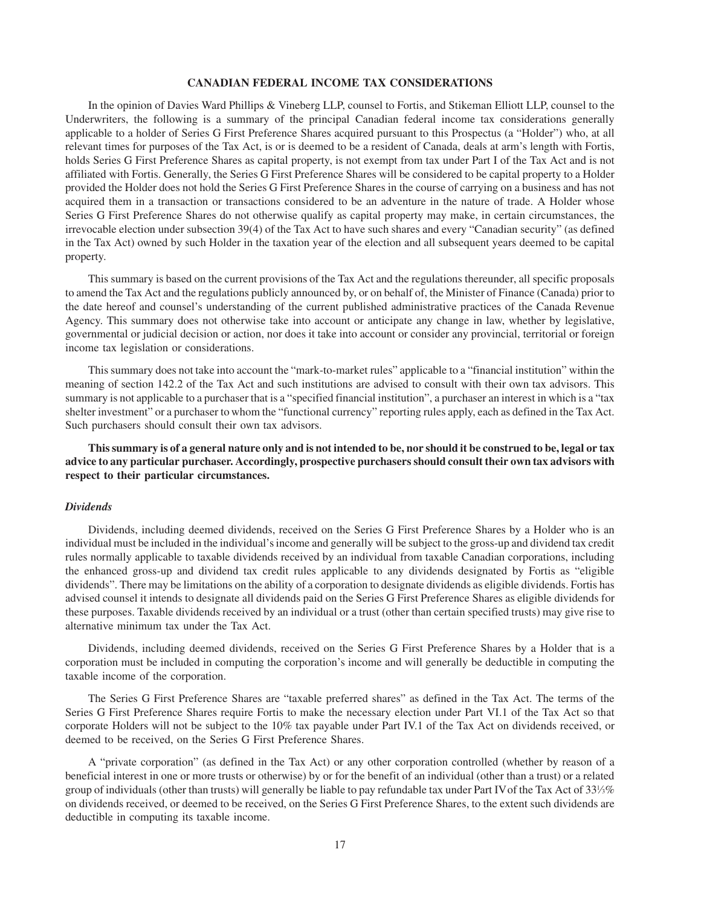# **CANADIAN FEDERAL INCOME TAX CONSIDERATIONS**

In the opinion of Davies Ward Phillips & Vineberg LLP, counsel to Fortis, and Stikeman Elliott LLP, counsel to the Underwriters, the following is a summary of the principal Canadian federal income tax considerations generally applicable to a holder of Series G First Preference Shares acquired pursuant to this Prospectus (a "Holder") who, at all relevant times for purposes of the Tax Act, is or is deemed to be a resident of Canada, deals at arm's length with Fortis, holds Series G First Preference Shares as capital property, is not exempt from tax under Part I of the Tax Act and is not affiliated with Fortis. Generally, the Series G First Preference Shares will be considered to be capital property to a Holder provided the Holder does not hold the Series G First Preference Shares in the course of carrying on a business and has not acquired them in a transaction or transactions considered to be an adventure in the nature of trade. A Holder whose Series G First Preference Shares do not otherwise qualify as capital property may make, in certain circumstances, the irrevocable election under subsection 39(4) of the Tax Act to have such shares and every "Canadian security" (as defined in the Tax Act) owned by such Holder in the taxation year of the election and all subsequent years deemed to be capital property.

This summary is based on the current provisions of the Tax Act and the regulations thereunder, all specific proposals to amend the Tax Act and the regulations publicly announced by, or on behalf of, the Minister of Finance (Canada) prior to the date hereof and counsel's understanding of the current published administrative practices of the Canada Revenue Agency. This summary does not otherwise take into account or anticipate any change in law, whether by legislative, governmental or judicial decision or action, nor does it take into account or consider any provincial, territorial or foreign income tax legislation or considerations.

This summary does not take into account the "mark-to-market rules" applicable to a "financial institution" within the meaning of section 142.2 of the Tax Act and such institutions are advised to consult with their own tax advisors. This summary is not applicable to a purchaser that is a "specified financial institution", a purchaser an interest in which is a "tax shelter investment" or a purchaser to whom the "functional currency" reporting rules apply, each as defined in the Tax Act. Such purchasers should consult their own tax advisors.

**This summary is of a general nature only and is not intended to be, nor should it be construed to be, legal or tax advice to any particular purchaser. Accordingly, prospective purchasers should consult their own tax advisors with respect to their particular circumstances.**

#### *Dividends*

Dividends, including deemed dividends, received on the Series G First Preference Shares by a Holder who is an individual must be included in the individual's income and generally will be subject to the gross-up and dividend tax credit rules normally applicable to taxable dividends received by an individual from taxable Canadian corporations, including the enhanced gross-up and dividend tax credit rules applicable to any dividends designated by Fortis as "eligible dividends". There may be limitations on the ability of a corporation to designate dividends as eligible dividends. Fortis has advised counsel it intends to designate all dividends paid on the Series G First Preference Shares as eligible dividends for these purposes. Taxable dividends received by an individual or a trust (other than certain specified trusts) may give rise to alternative minimum tax under the Tax Act.

Dividends, including deemed dividends, received on the Series G First Preference Shares by a Holder that is a corporation must be included in computing the corporation's income and will generally be deductible in computing the taxable income of the corporation.

The Series G First Preference Shares are "taxable preferred shares" as defined in the Tax Act. The terms of the Series G First Preference Shares require Fortis to make the necessary election under Part VI.1 of the Tax Act so that corporate Holders will not be subject to the 10% tax payable under Part IV.1 of the Tax Act on dividends received, or deemed to be received, on the Series G First Preference Shares.

A "private corporation" (as defined in the Tax Act) or any other corporation controlled (whether by reason of a beneficial interest in one or more trusts or otherwise) by or for the benefit of an individual (other than a trust) or a related group of individuals (other than trusts) will generally be liable to pay refundable tax under Part IVof the Tax Act of 331 ⁄3% on dividends received, or deemed to be received, on the Series G First Preference Shares, to the extent such dividends are deductible in computing its taxable income.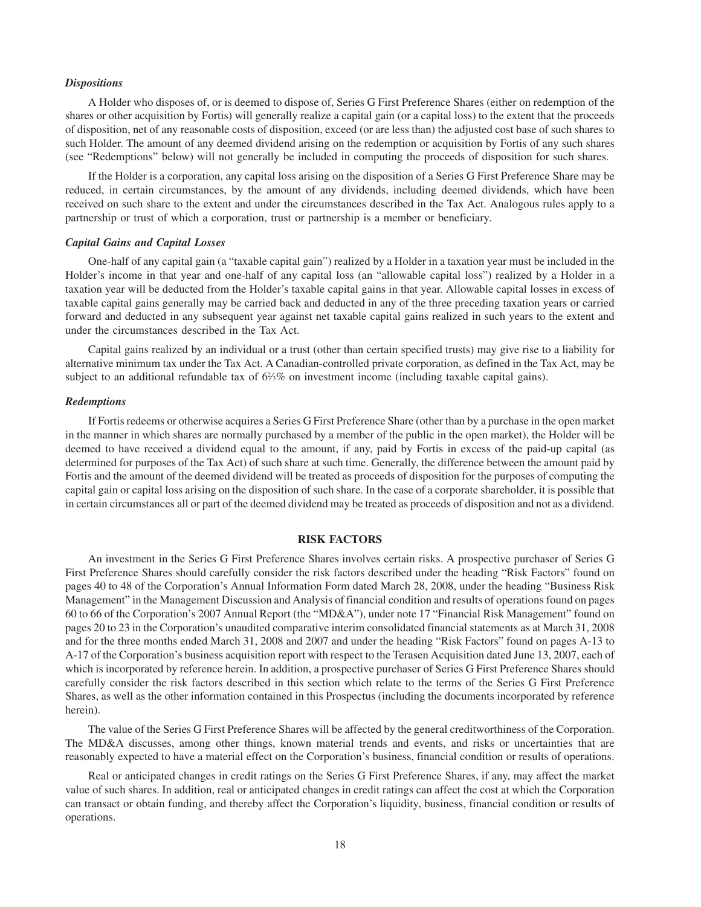#### *Dispositions*

A Holder who disposes of, or is deemed to dispose of, Series G First Preference Shares (either on redemption of the shares or other acquisition by Fortis) will generally realize a capital gain (or a capital loss) to the extent that the proceeds of disposition, net of any reasonable costs of disposition, exceed (or are less than) the adjusted cost base of such shares to such Holder. The amount of any deemed dividend arising on the redemption or acquisition by Fortis of any such shares (see "Redemptions" below) will not generally be included in computing the proceeds of disposition for such shares.

If the Holder is a corporation, any capital loss arising on the disposition of a Series G First Preference Share may be reduced, in certain circumstances, by the amount of any dividends, including deemed dividends, which have been received on such share to the extent and under the circumstances described in the Tax Act. Analogous rules apply to a partnership or trust of which a corporation, trust or partnership is a member or beneficiary.

#### *Capital Gains and Capital Losses*

One-half of any capital gain (a "taxable capital gain") realized by a Holder in a taxation year must be included in the Holder's income in that year and one-half of any capital loss (an "allowable capital loss") realized by a Holder in a taxation year will be deducted from the Holder's taxable capital gains in that year. Allowable capital losses in excess of taxable capital gains generally may be carried back and deducted in any of the three preceding taxation years or carried forward and deducted in any subsequent year against net taxable capital gains realized in such years to the extent and under the circumstances described in the Tax Act.

Capital gains realized by an individual or a trust (other than certain specified trusts) may give rise to a liability for alternative minimum tax under the Tax Act. A Canadian-controlled private corporation, as defined in the Tax Act, may be subject to an additional refundable tax of 6%% on investment income (including taxable capital gains).

#### *Redemptions*

If Fortis redeems or otherwise acquires a Series G First Preference Share (other than by a purchase in the open market in the manner in which shares are normally purchased by a member of the public in the open market), the Holder will be deemed to have received a dividend equal to the amount, if any, paid by Fortis in excess of the paid-up capital (as determined for purposes of the Tax Act) of such share at such time. Generally, the difference between the amount paid by Fortis and the amount of the deemed dividend will be treated as proceeds of disposition for the purposes of computing the capital gain or capital loss arising on the disposition of such share. In the case of a corporate shareholder, it is possible that in certain circumstances all or part of the deemed dividend may be treated as proceeds of disposition and not as a dividend.

#### **RISK FACTORS**

An investment in the Series G First Preference Shares involves certain risks. A prospective purchaser of Series G First Preference Shares should carefully consider the risk factors described under the heading "Risk Factors" found on pages 40 to 48 of the Corporation's Annual Information Form dated March 28, 2008, under the heading "Business Risk Management" in the Management Discussion and Analysis of financial condition and results of operations found on pages 60 to 66 of the Corporation's 2007 Annual Report (the "MD&A"), under note 17 "Financial Risk Management" found on pages 20 to 23 in the Corporation's unaudited comparative interim consolidated financial statements as at March 31, 2008 and for the three months ended March 31, 2008 and 2007 and under the heading "Risk Factors" found on pages A-13 to A-17 of the Corporation's business acquisition report with respect to the Terasen Acquisition dated June 13, 2007, each of which is incorporated by reference herein. In addition, a prospective purchaser of Series G First Preference Shares should carefully consider the risk factors described in this section which relate to the terms of the Series G First Preference Shares, as well as the other information contained in this Prospectus (including the documents incorporated by reference herein).

The value of the Series G First Preference Shares will be affected by the general creditworthiness of the Corporation. The MD&A discusses, among other things, known material trends and events, and risks or uncertainties that are reasonably expected to have a material effect on the Corporation's business, financial condition or results of operations.

Real or anticipated changes in credit ratings on the Series G First Preference Shares, if any, may affect the market value of such shares. In addition, real or anticipated changes in credit ratings can affect the cost at which the Corporation can transact or obtain funding, and thereby affect the Corporation's liquidity, business, financial condition or results of operations.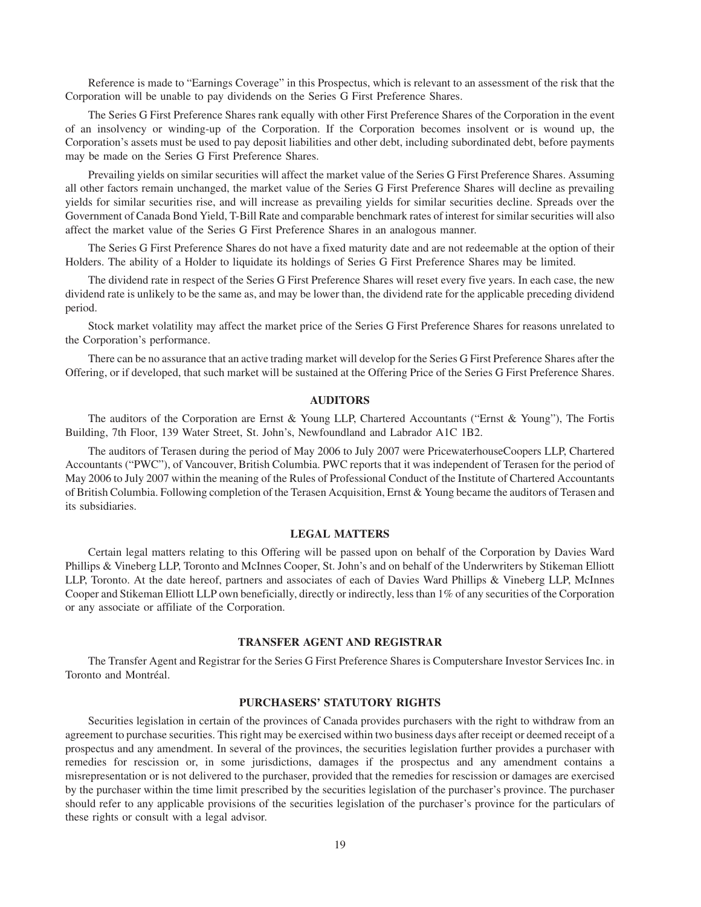Reference is made to "Earnings Coverage" in this Prospectus, which is relevant to an assessment of the risk that the Corporation will be unable to pay dividends on the Series G First Preference Shares.

The Series G First Preference Shares rank equally with other First Preference Shares of the Corporation in the event of an insolvency or winding-up of the Corporation. If the Corporation becomes insolvent or is wound up, the Corporation's assets must be used to pay deposit liabilities and other debt, including subordinated debt, before payments may be made on the Series G First Preference Shares.

Prevailing yields on similar securities will affect the market value of the Series G First Preference Shares. Assuming all other factors remain unchanged, the market value of the Series G First Preference Shares will decline as prevailing yields for similar securities rise, and will increase as prevailing yields for similar securities decline. Spreads over the Government of Canada Bond Yield, T-Bill Rate and comparable benchmark rates of interest for similar securities will also affect the market value of the Series G First Preference Shares in an analogous manner.

The Series G First Preference Shares do not have a fixed maturity date and are not redeemable at the option of their Holders. The ability of a Holder to liquidate its holdings of Series G First Preference Shares may be limited.

The dividend rate in respect of the Series G First Preference Shares will reset every five years. In each case, the new dividend rate is unlikely to be the same as, and may be lower than, the dividend rate for the applicable preceding dividend period.

Stock market volatility may affect the market price of the Series G First Preference Shares for reasons unrelated to the Corporation's performance.

There can be no assurance that an active trading market will develop for the Series G First Preference Shares after the Offering, or if developed, that such market will be sustained at the Offering Price of the Series G First Preference Shares.

#### **AUDITORS**

The auditors of the Corporation are Ernst & Young LLP, Chartered Accountants ("Ernst & Young"), The Fortis Building, 7th Floor, 139 Water Street, St. John's, Newfoundland and Labrador A1C 1B2.

The auditors of Terasen during the period of May 2006 to July 2007 were PricewaterhouseCoopers LLP, Chartered Accountants ("PWC"), of Vancouver, British Columbia. PWC reports that it was independent of Terasen for the period of May 2006 to July 2007 within the meaning of the Rules of Professional Conduct of the Institute of Chartered Accountants of British Columbia. Following completion of the Terasen Acquisition, Ernst & Young became the auditors of Terasen and its subsidiaries.

#### **LEGAL MATTERS**

Certain legal matters relating to this Offering will be passed upon on behalf of the Corporation by Davies Ward Phillips & Vineberg LLP, Toronto and McInnes Cooper, St. John's and on behalf of the Underwriters by Stikeman Elliott LLP, Toronto. At the date hereof, partners and associates of each of Davies Ward Phillips & Vineberg LLP, McInnes Cooper and Stikeman Elliott LLP own beneficially, directly or indirectly, less than 1% of any securities of the Corporation or any associate or affiliate of the Corporation.

# **TRANSFER AGENT AND REGISTRAR**

The Transfer Agent and Registrar for the Series G First Preference Shares is Computershare Investor Services Inc. in Toronto and Montréal.

# **PURCHASERS' STATUTORY RIGHTS**

Securities legislation in certain of the provinces of Canada provides purchasers with the right to withdraw from an agreement to purchase securities. This right may be exercised within two business days after receipt or deemed receipt of a prospectus and any amendment. In several of the provinces, the securities legislation further provides a purchaser with remedies for rescission or, in some jurisdictions, damages if the prospectus and any amendment contains a misrepresentation or is not delivered to the purchaser, provided that the remedies for rescission or damages are exercised by the purchaser within the time limit prescribed by the securities legislation of the purchaser's province. The purchaser should refer to any applicable provisions of the securities legislation of the purchaser's province for the particulars of these rights or consult with a legal advisor.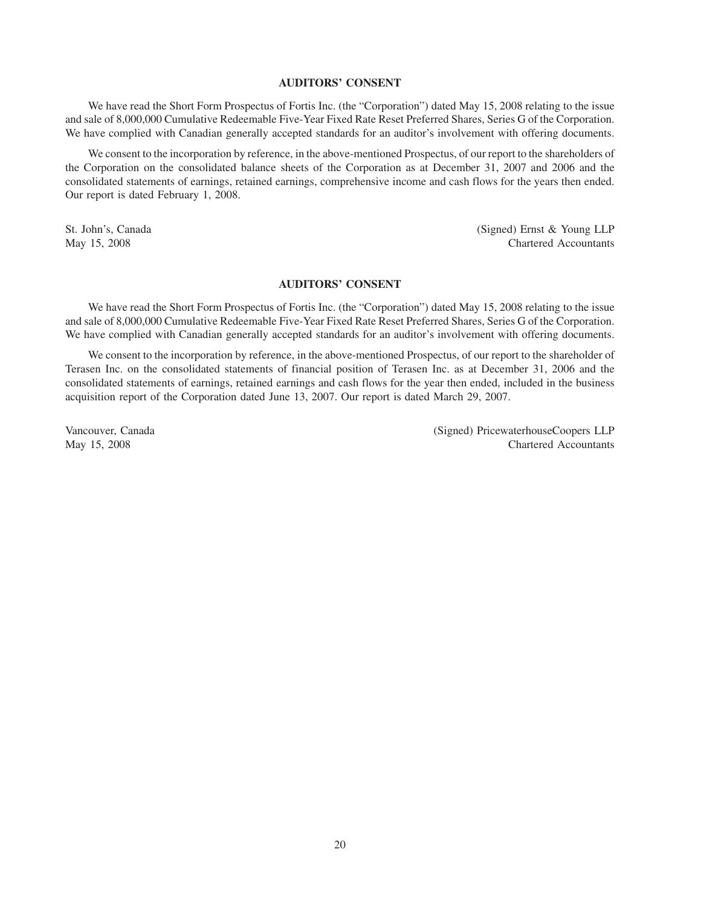# **AUDITORS' CONSENT**

We have read the Short Form Prospectus of Fortis Inc. (the "Corporation") dated May 15, 2008 relating to the issue and sale of 8,000,000 Cumulative Redeemable Five-Year Fixed Rate Reset Preferred Shares, Series G of the Corporation. We have complied with Canadian generally accepted standards for an auditor's involvement with offering documents.

We consent to the incorporation by reference, in the above-mentioned Prospectus, of our report to the shareholders of the Corporation on the consolidated balance sheets of the Corporation as at December 31, 2007 and 2006 and the consolidated statements of earnings, retained earnings, comprehensive income and cash flows for the years then ended. Our report is dated February 1, 2008.

St. John's, Canada (Signed) Ernst & Young LLP May 15, 2008 Chartered Accountants

# **AUDITORS' CONSENT**

We have read the Short Form Prospectus of Fortis Inc. (the "Corporation") dated May 15, 2008 relating to the issue and sale of 8,000,000 Cumulative Redeemable Five-Year Fixed Rate Reset Preferred Shares, Series G of the Corporation. We have complied with Canadian generally accepted standards for an auditor's involvement with offering documents.

We consent to the incorporation by reference, in the above-mentioned Prospectus, of our report to the shareholder of Terasen Inc. on the consolidated statements of financial position of Terasen Inc. as at December 31, 2006 and the consolidated statements of earnings, retained earnings and cash flows for the year then ended, included in the business acquisition report of the Corporation dated June 13, 2007. Our report is dated March 29, 2007.

Vancouver, Canada (Signed) PricewaterhouseCoopers LLP May 15, 2008 Chartered Accountants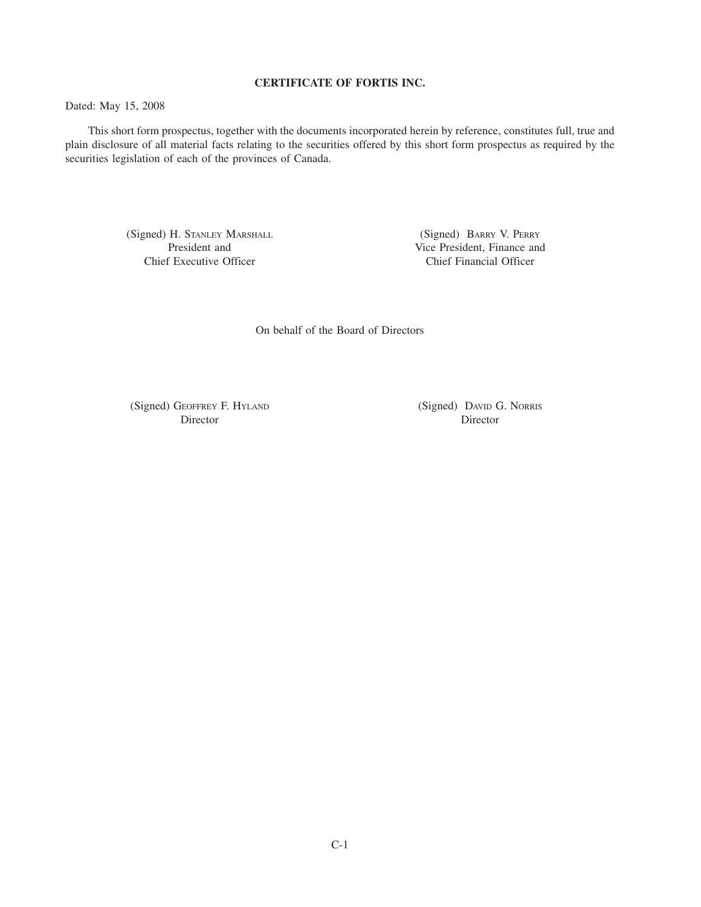# **CERTIFICATE OF FORTIS INC.**

Dated: May 15, 2008

This short form prospectus, together with the documents incorporated herein by reference, constitutes full, true and plain disclosure of all material facts relating to the securities offered by this short form prospectus as required by the securities legislation of each of the provinces of Canada.

> (Signed) H. STANLEY MARSHALL President and Chief Executive Officer

(Signed) BARRY V. PERRY Vice President, Finance and Chief Financial Officer

On behalf of the Board of Directors

(Signed) GEOFFREY F. HYLAND Director

(Signed) DAVID G. NORRIS Director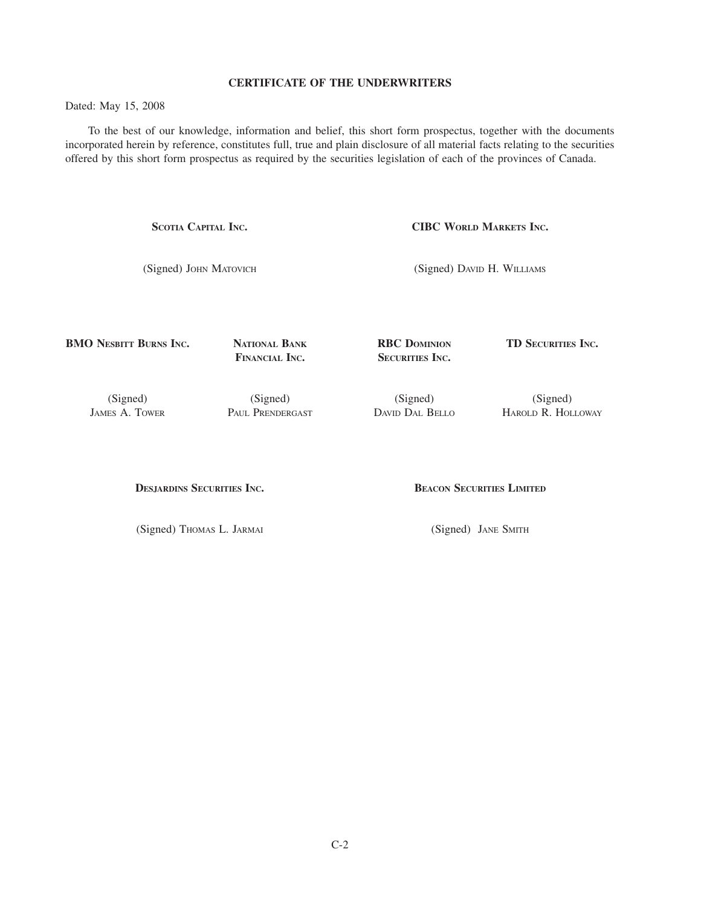# **CERTIFICATE OF THE UNDERWRITERS**

Dated: May 15, 2008

To the best of our knowledge, information and belief, this short form prospectus, together with the documents incorporated herein by reference, constitutes full, true and plain disclosure of all material facts relating to the securities offered by this short form prospectus as required by the securities legislation of each of the provinces of Canada.

**SCOTIA CAPITAL INC.**

(Signed) JOHN MATOVICH

**CIBC WORLD MARKETS INC.**

(Signed) DAVID H. WILLIAMS

**BMO NESBITT BURNS INC.**

**NATIONAL BANK FINANCIAL INC.**

**RBC DOMINION SECURITIES INC.**

**TD SECURITIES INC.**

(Signed) JAMES A. TOWER

(Signed) PAUL PRENDERGAST

(Signed) DAVID DAL BELLO

(Signed) HAROLD R. HOLLOWAY

**DESJARDINS SECURITIES INC.**

(Signed) THOMAS L. JARMAI

**BEACON SECURITIES LIMITED**

(Signed) JANE SMITH